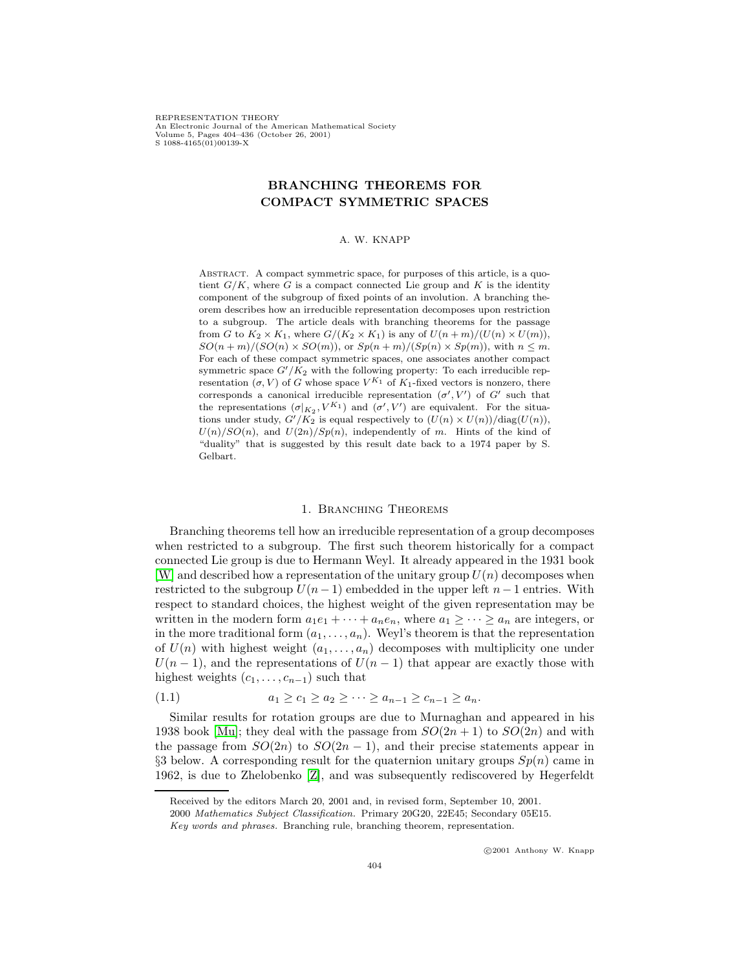REPRESENTATION THEORY An Electronic Journal of the American Mathematical Society Volume 5, Pages 404–436 (October 26, 2001) S 1088-4165(01)00139-X

# **BRANCHING THEOREMS FOR COMPACT SYMMETRIC SPACES**

### A. W. KNAPP

ABSTRACT. A compact symmetric space, for purposes of this article, is a quotient  $G/K$ , where G is a compact connected Lie group and K is the identity component of the subgroup of fixed points of an involution. A branching theorem describes how an irreducible representation decomposes upon restriction to a subgroup. The article deals with branching theorems for the passage from G to  $K_2 \times K_1$ , where  $G/(K_2 \times K_1)$  is any of  $U(n+m)/(U(n) \times U(m))$ ,  $SO(n+m)/(SO(n) \times SO(m))$ , or  $Sp(n+m)/(Sp(n) \times Sp(m))$ , with  $n \leq m$ . For each of these compact symmetric spaces, one associates another compact symmetric space  $G'/K_2$  with the following property: To each irreducible representation  $(\sigma, V)$  of G whose space  $V^{K_1}$  of  $K_1$ -fixed vectors is nonzero, there corresponds a canonical irreducible representation  $(\sigma', V')$  of G' such that the representations  $(\sigma|_{K_2}, V^{K_1})$  and  $(\sigma', V')$  are equivalent. For the situations under study,  $G'/K_2$  is equal respectively to  $(U(n) \times U(n))/diag(U(n)),$  $U(n)/SO(n)$ , and  $U(2n)/Sp(n)$ , independently of m. Hints of the kind of "duality" that is suggested by this result date back to a 1974 paper by S. Gelbart.

### 1. Branching Theorems

Branching theorems tell how an irreducible representation of a group decomposes when restricted to a subgroup. The first such theorem historically for a compact connected Lie group is due to Hermann Weyl. It already appeared in the 1931 book  $[W]$  and described how a representation of the unitary group  $U(n)$  decomposes when restricted to the subgroup  $U(n-1)$  embedded in the upper left  $n-1$  entries. With respect to standard choices, the highest weight of the given representation may be written in the modern form  $a_1e_1 + \cdots + a_ne_n$ , where  $a_1 \geq \cdots \geq a_n$  are integers, or in the more traditional form  $(a_1, \ldots, a_n)$ . Weyl's theorem is that the representation of  $U(n)$  with highest weight  $(a_1,\ldots,a_n)$  decomposes with multiplicity one under  $U(n-1)$ , and the representations of  $U(n-1)$  that appear are exactly those with highest weights  $(c_1, \ldots, c_{n-1})$  such that

$$
(1.1) \t a_1 \ge c_1 \ge a_2 \ge \cdots \ge a_{n-1} \ge c_{n-1} \ge a_n.
$$

Similar results for rotation groups are due to Murnaghan and appeared in his 1938 book [\[Mu\]](#page-31-0); they deal with the passage from  $SO(2n+1)$  to  $SO(2n)$  and with the passage from  $SO(2n)$  to  $SO(2n-1)$ , and their precise statements appear in §3 below. A corresponding result for the quaternion unitary groups  $Sp(n)$  came in 1962, is due to Zhelobenko [\[Z\]](#page-32-1), and was subsequently rediscovered by Hegerfeldt

Received by the editors March 20, 2001 and, in revised form, September 10, 2001.

<sup>2000</sup> Mathematics Subject Classification. Primary 20G20, 22E45; Secondary 05E15.

Key words and phrases. Branching rule, branching theorem, representation.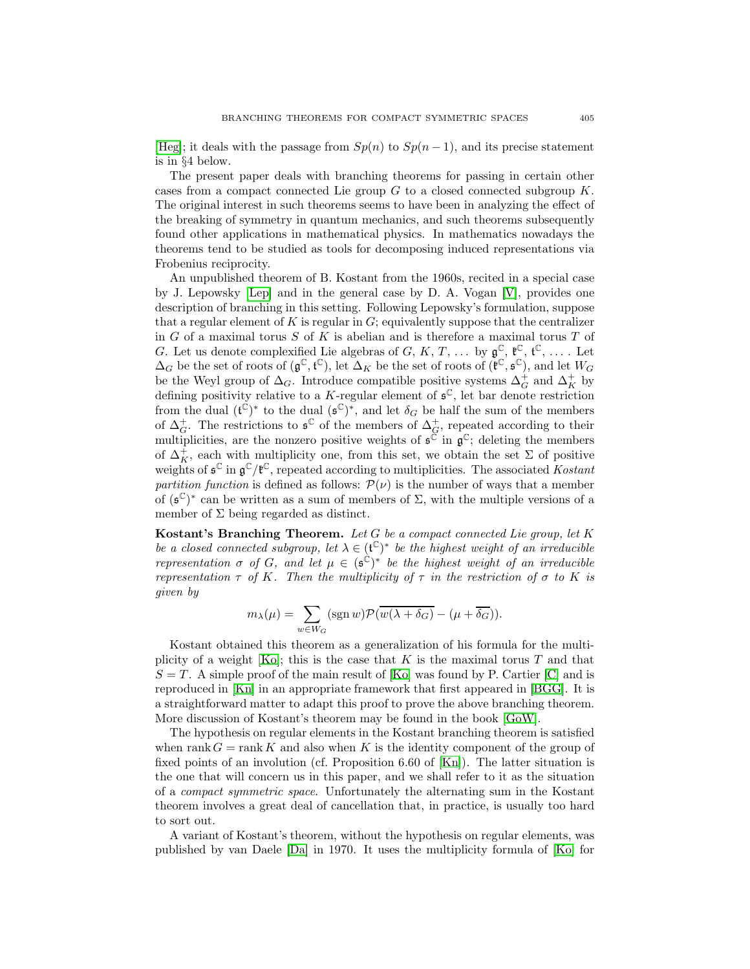[\[Heg\]](#page-31-1); it deals with the passage from  $Sp(n)$  to  $Sp(n-1)$ , and its precise statement is in §4 below.

The present paper deals with branching theorems for passing in certain other cases from a compact connected Lie group  $G$  to a closed connected subgroup  $K$ . The original interest in such theorems seems to have been in analyzing the effect of the breaking of symmetry in quantum mechanics, and such theorems subsequently found other applications in mathematical physics. In mathematics nowadays the theorems tend to be studied as tools for decomposing induced representations via Frobenius reciprocity.

An unpublished theorem of B. Kostant from the 1960s, recited in a special case by J. Lepowsky [\[Lep\]](#page-31-2) and in the general case by D. A. Vogan [\[V\]](#page-31-3), provides one description of branching in this setting. Following Lepowsky's formulation, suppose that a regular element of K is regular in  $G$ ; equivalently suppose that the centralizer in  $G$  of a maximal torus  $S$  of  $K$  is abelian and is therefore a maximal torus  $T$  of G. Let us denote complexified Lie algebras of G, K, T, ... by  $\mathfrak{g}^{\mathbb{C}}, \mathfrak{k}^{\mathbb{C}}, \mathfrak{t}^{\mathbb{C}}, \ldots$  Let  $\Delta_G$  be the set of roots of  $(\mathfrak{g}^\mathbb{C}, \mathfrak{t}^\mathbb{C})$ , let  $\Delta_K$  be the set of roots of  $(\mathfrak{k}^\mathbb{C}, \mathfrak{s}^\mathbb{C})$ , and let  $W_G$ be the Weyl group of  $\Delta_G$ . Introduce compatible positive systems  $\Delta_G^+$  and  $\Delta_K^+$  by defining positivity relative to a K-regular element of  $\mathfrak{s}^{\mathbb{C}}$ , let bar denote restriction from the dual  $({{\mathfrak t}}^{{\mathbb C}})^*$  to the dual  $({{\mathfrak s}}^{{\mathbb C}})^*$ , and let  $\delta_G$  be half the sum of the members of  $\Delta_G^+$ . The restrictions to  $\mathfrak{s}^{\mathbb{C}}$  of the members of  $\Delta_G^+$ , repeated according to their multiplicities, are the nonzero positive weights of  $\mathfrak{s}^{\mathbb{C}}$  in  $\mathfrak{g}^{\mathbb{C}}$ ; deleting the members of  $\Delta_K^+$ , each with multiplicity one, from this set, we obtain the set  $\Sigma$  of positive weights of  $\mathfrak{s}^{\mathbb{C}}$  in  $\mathfrak{g}^{\mathbb{C}}/\mathfrak{k}^{\mathbb{C}}$ , repeated according to multiplicities. The associated Kostant partition function is defined as follows:  $\mathcal{P}(\nu)$  is the number of ways that a member of  $(\mathfrak{s}^{\mathbb{C}})^*$  can be written as a sum of members of Σ, with the multiple versions of a member of  $\Sigma$  being regarded as distinct.

**Kostant's Branching Theorem.** Let G be a compact connected Lie group, let K be a closed connected subgroup, let  $\lambda \in (\mathfrak{t}^{\mathbb{C}})^*$  be the highest weight of an irreducible representation  $\sigma$  of G, and let  $\mu \in (\mathfrak{s}^{\mathbb{C}})^*$  be the highest weight of an irreducible representation  $\tau$  of K. Then the multiplicity of  $\tau$  in the restriction of  $\sigma$  to K is given by

$$
m_{\lambda}(\mu) = \sum_{w \in W_G} (sgn w) \mathcal{P}(\overline{w(\lambda + \delta_G)} - (\mu + \overline{\delta_G})).
$$

Kostant obtained this theorem as a generalization of his formula for the multi-plicity of a weight [\[Ko\]](#page-31-4); this is the case that K is the maximal torus T and that  $S = T$ . A simple proof of the main result of [\[Ko\]](#page-31-4) was found by P. Cartier [\[C\]](#page-31-5) and is reproduced in [\[Kn\]](#page-31-6) in an appropriate framework that first appeared in [\[BGG\]](#page-30-0). It is a straightforward matter to adapt this proof to prove the above branching theorem. More discussion of Kostant's theorem may be found in the book [\[GoW\]](#page-31-7).

The hypothesis on regular elements in the Kostant branching theorem is satisfied when rank  $G = \text{rank } K$  and also when K is the identity component of the group of fixed points of an involution (cf. Proposition 6.60 of [\[Kn\]](#page-31-6)). The latter situation is the one that will concern us in this paper, and we shall refer to it as the situation of a compact symmetric space. Unfortunately the alternating sum in the Kostant theorem involves a great deal of cancellation that, in practice, is usually too hard to sort out.

A variant of Kostant's theorem, without the hypothesis on regular elements, was published by van Daele [\[Da\]](#page-31-8) in 1970. It uses the multiplicity formula of [\[Ko\]](#page-31-4) for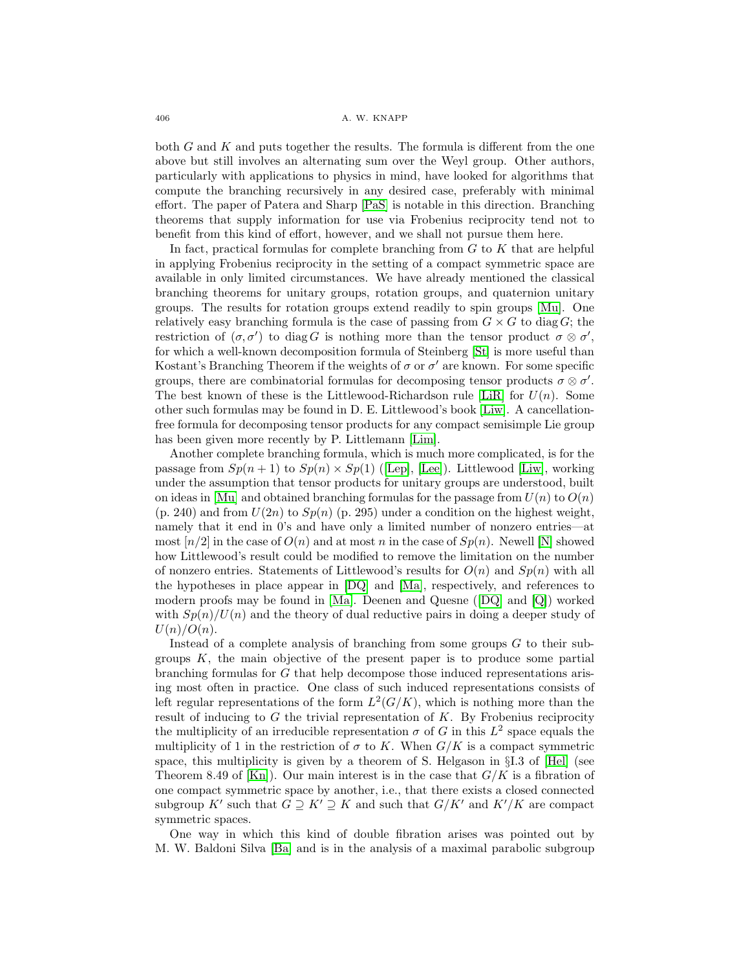#### 406 **A. W. KNAPP**

both  $G$  and  $K$  and puts together the results. The formula is different from the one above but still involves an alternating sum over the Weyl group. Other authors, particularly with applications to physics in mind, have looked for algorithms that compute the branching recursively in any desired case, preferably with minimal effort. The paper of Patera and Sharp [\[PaS\]](#page-31-9) is notable in this direction. Branching theorems that supply information for use via Frobenius reciprocity tend not to benefit from this kind of effort, however, and we shall not pursue them here.

In fact, practical formulas for complete branching from  $G$  to  $K$  that are helpful in applying Frobenius reciprocity in the setting of a compact symmetric space are available in only limited circumstances. We have already mentioned the classical branching theorems for unitary groups, rotation groups, and quaternion unitary groups. The results for rotation groups extend readily to spin groups [\[Mu\]](#page-31-0). One relatively easy branching formula is the case of passing from  $G \times G$  to diag G; the restriction of  $(\sigma, \sigma')$  to diag G is nothing more than the tensor product  $\sigma \otimes \sigma'$ , for which a well-known decomposition formula of Steinberg [\[St\]](#page-31-10) is more useful than Kostant's Branching Theorem if the weights of  $\sigma$  or  $\sigma'$  are known. For some specific groups, there are combinatorial formulas for decomposing tensor products  $\sigma \otimes \sigma'$ . The best known of these is the Littlewood-Richardson rule [\[LiR\]](#page-31-11) for  $U(n)$ . Some other such formulas may be found in D. E. Littlewood's book [\[Liw\]](#page-31-12). A cancellationfree formula for decomposing tensor products for any compact semisimple Lie group has been given more recently by P. Littlemann [\[Lim\]](#page-31-13).

Another complete branching formula, which is much more complicated, is for the passage from  $Sp(n+1)$  to  $Sp(n) \times Sp(1)$  ([\[Lep\]](#page-31-2), [\[Lee\]](#page-31-14)). Littlewood [\[Liw\]](#page-31-12), working under the assumption that tensor products for unitary groups are understood, built on ideas in [\[Mu\]](#page-31-0) and obtained branching formulas for the passage from  $U(n)$  to  $O(n)$  $(p. 240)$  and from  $U(2n)$  to  $Sp(n)$  (p. 295) under a condition on the highest weight, namely that it end in 0's and have only a limited number of nonzero entries—at most  $[n/2]$  in the case of  $O(n)$  and at most n in the case of  $Sp(n)$ . Newell [\[N\]](#page-31-15) showed how Littlewood's result could be modified to remove the limitation on the number of nonzero entries. Statements of Littlewood's results for  $O(n)$  and  $Sp(n)$  with all the hypotheses in place appear in [\[DQ\]](#page-31-16) and [\[Ma\]](#page-31-17), respectively, and references to modern proofs may be found in [\[Ma\]](#page-31-17). Deenen and Quesne ([\[DQ\]](#page-31-16) and [\[Q\]](#page-31-18)) worked with  $Sp(n)/U(n)$  and the theory of dual reductive pairs in doing a deeper study of  $U(n)/O(n)$ .

Instead of a complete analysis of branching from some groups  $G$  to their subgroups  $K$ , the main objective of the present paper is to produce some partial branching formulas for G that help decompose those induced representations arising most often in practice. One class of such induced representations consists of left regular representations of the form  $L^2(G/K)$ , which is nothing more than the result of inducing to  $G$  the trivial representation of  $K$ . By Frobenius reciprocity the multiplicity of an irreducible representation  $\sigma$  of G in this  $L^2$  space equals the multiplicity of 1 in the restriction of  $\sigma$  to K. When  $G/K$  is a compact symmetric space, this multiplicity is given by a theorem of S. Helgason in §I.3 of [\[Hel\]](#page-31-19) (see Theorem 8.49 of  $[Kn]$ ). Our main interest is in the case that  $G/K$  is a fibration of one compact symmetric space by another, i.e., that there exists a closed connected subgroup K' such that  $G \supseteq K' \supseteq K$  and such that  $G/K'$  and  $K'/K$  are compact symmetric spaces.

One way in which this kind of double fibration arises was pointed out by M. W. Baldoni Silva [\[Ba\]](#page-30-1) and is in the analysis of a maximal parabolic subgroup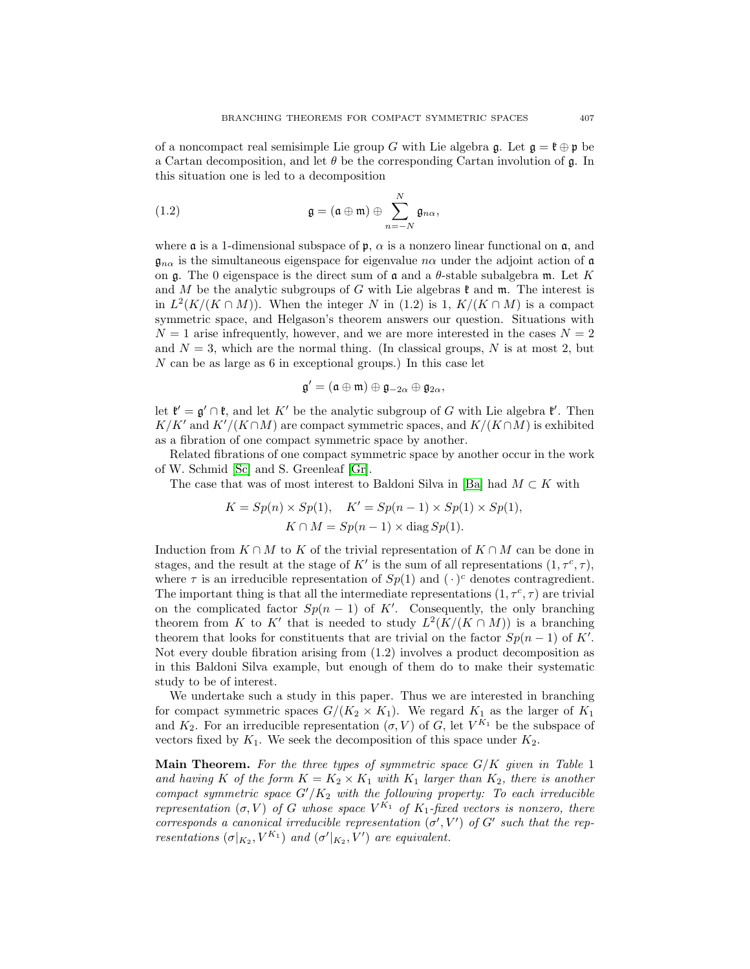of a noncompact real semisimple Lie group G with Lie algebra g. Let  $g = \mathfrak{k} \oplus \mathfrak{p}$  be a Cartan decomposition, and let  $\theta$  be the corresponding Cartan involution of  $\mathfrak{g}$ . In this situation one is led to a decomposition

(1.2) 
$$
\mathfrak{g} = (\mathfrak{a} \oplus \mathfrak{m}) \oplus \sum_{n=-N}^{N} \mathfrak{g}_{n\alpha},
$$

where  $\alpha$  is a 1-dimensional subspace of  $\beta$ ,  $\alpha$  is a nonzero linear functional on  $\alpha$ , and  $\mathfrak{g}_{n\alpha}$  is the simultaneous eigenspace for eigenvalue  $n\alpha$  under the adjoint action of  $\mathfrak{a}$ on  $\mathfrak g$ . The 0 eigenspace is the direct sum of  $\mathfrak a$  and a  $\theta$ -stable subalgebra  $\mathfrak m$ . Let  $K$ and M be the analytic subgroups of G with Lie algebras  $\mathfrak k$  and  $\mathfrak m$ . The interest is in  $L^2(K/(K \cap M))$ . When the integer N in (1.2) is 1,  $K/(K \cap M)$  is a compact symmetric space, and Helgason's theorem answers our question. Situations with  $N = 1$  arise infrequently, however, and we are more interested in the cases  $N = 2$ and  $N = 3$ , which are the normal thing. (In classical groups, N is at most 2, but N can be as large as 6 in exceptional groups.) In this case let

$$
\mathfrak{g}'=(\mathfrak{a}\oplus\mathfrak{m})\oplus\mathfrak{g}_{-2\alpha}\oplus\mathfrak{g}_{2\alpha},
$$

let  $\mathfrak{k}' = \mathfrak{g}' \cap \mathfrak{k}$ , and let K' be the analytic subgroup of G with Lie algebra  $\mathfrak{k}'$ . Then  $K/K'$  and  $K'/(K \cap M)$  are compact symmetric spaces, and  $K/(K \cap M)$  is exhibited as a fibration of one compact symmetric space by another.

Related fibrations of one compact symmetric space by another occur in the work of W. Schmid [\[Sc\]](#page-31-20) and S. Greenleaf [\[Gr\]](#page-31-21).

The case that was of most interest to Baldoni Silva in [\[Ba\]](#page-30-1) had  $M \subset K$  with

$$
K = Sp(n) \times Sp(1), \quad K' = Sp(n-1) \times Sp(1) \times Sp(1),
$$
  

$$
K \cap M = Sp(n-1) \times diag Sp(1).
$$

Induction from  $K \cap M$  to K of the trivial representation of  $K \cap M$  can be done in stages, and the result at the stage of K' is the sum of all representations  $(1, \tau^c, \tau)$ , where  $\tau$  is an irreducible representation of  $Sp(1)$  and  $(\cdot)^c$  denotes contragredient. The important thing is that all the intermediate representations  $(1, \tau^c, \tau)$  are trivial on the complicated factor  $Sp(n-1)$  of K'. Consequently, the only branching theorem from K to K' that is needed to study  $L^2(K/(K \cap M))$  is a branching theorem that looks for constituents that are trivial on the factor  $Sp(n-1)$  of K'. Not every double fibration arising from (1.2) involves a product decomposition as in this Baldoni Silva example, but enough of them do to make their systematic study to be of interest.

We undertake such a study in this paper. Thus we are interested in branching for compact symmetric spaces  $G/(K_2 \times K_1)$ . We regard  $K_1$  as the larger of  $K_1$ and  $K_2$ . For an irreducible representation  $(\sigma, V)$  of G, let  $V^{K_1}$  be the subspace of vectors fixed by  $K_1$ . We seek the decomposition of this space under  $K_2$ .

**Main Theorem.** For the three types of symmetric space  $G/K$  given in Table 1 and having K of the form  $K = K_2 \times K_1$  with  $K_1$  larger than  $K_2$ , there is another compact symmetric space  $G'/K_2$  with the following property: To each irreducible representation  $(\sigma, V)$  of G whose space  $V^{K_1}$  of  $K_1$ -fixed vectors is nonzero, there corresponds a canonical irreducible representation  $(\sigma', V')$  of G' such that the representations  $(\sigma|_{K_2}, V^{K_1})$  and  $(\sigma'|_{K_2}, V')$  are equivalent.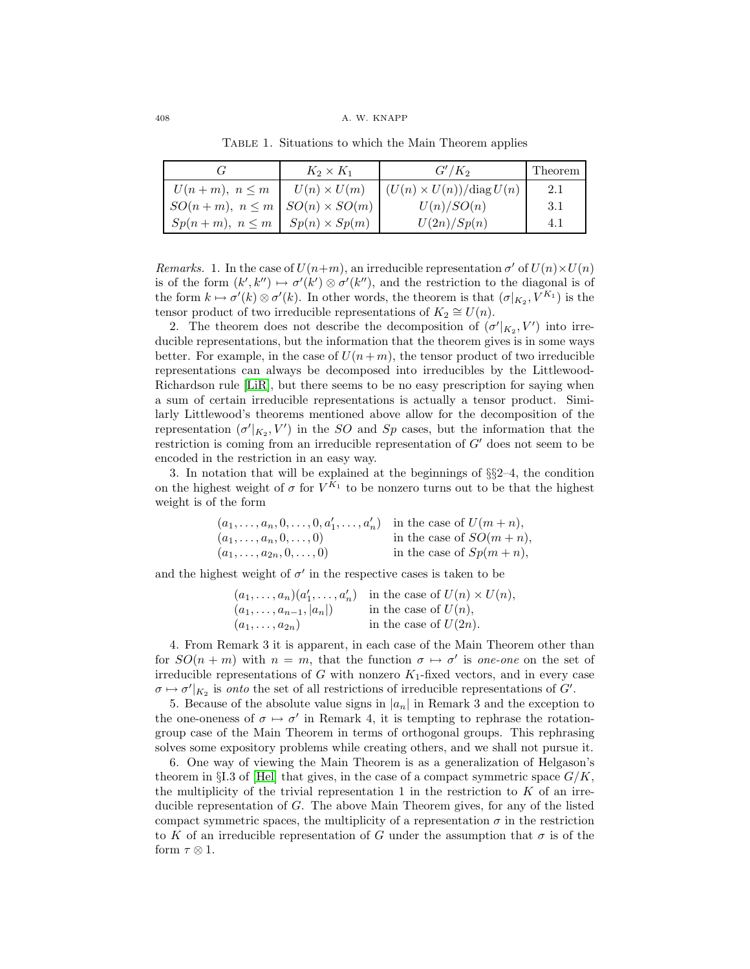# 408 A. W. KNAPP

|                                             | $K_2 \times K_1$   | $G'/K_2$                                      | Theorem |
|---------------------------------------------|--------------------|-----------------------------------------------|---------|
| $U(n+m), n \leq m$                          | $U(n) \times U(m)$ | $\int (U(n) \times U(n)) / \text{diag } U(n)$ | 2.1     |
| $SO(n+m), n \leq m \mid SO(n) \times SO(m)$ |                    | U(n)/SO(n)                                    | 3.1     |
| $Sp(n+m), n \leq m \mid Sp(n) \times Sp(m)$ |                    | U(2n)/Sp(n)                                   | 4.1     |

TABLE 1. Situations to which the Main Theorem applies

Remarks. 1. In the case of  $U(n+m)$ , an irreducible representation  $\sigma'$  of  $U(n)\times U(n)$ is of the form  $(k', k'') \mapsto \sigma'(k') \otimes \sigma'(k'')$ , and the restriction to the diagonal is of the form  $k \mapsto \sigma'(k) \otimes \sigma'(k)$ . In other words, the theorem is that  $(\sigma|_{K_2}, V^{K_1})$  is the tensor product of two irreducible representations of  $K_2 \cong U(n)$ .

2. The theorem does not describe the decomposition of  $(\sigma'|_{K_2}, V')$  into irreducible representations, but the information that the theorem gives is in some ways better. For example, in the case of  $U(n+m)$ , the tensor product of two irreducible representations can always be decomposed into irreducibles by the Littlewood-Richardson rule [\[LiR\]](#page-31-11), but there seems to be no easy prescription for saying when a sum of certain irreducible representations is actually a tensor product. Similarly Littlewood's theorems mentioned above allow for the decomposition of the representation  $(\sigma'|_{K_2}, V')$  in the SO and S<sub>p</sub> cases, but the information that the restriction is coming from an irreducible representation of  $G'$  does not seem to be encoded in the restriction in an easy way.

3. In notation that will be explained at the beginnings of §§2–4, the condition on the highest weight of  $\sigma$  for  $V^{\tilde{K}_1}$  to be nonzero turns out to be that the highest weight is of the form

| $(a_1, , a_n, 0, , 0, a'_1, , a'_n)$ in the case of $U(m+n)$ , |                            |
|----------------------------------------------------------------|----------------------------|
| $(a_1,\ldots,a_n,0,\ldots,0)$                                  | in the case of $SO(m+n)$ , |
| $(a_1, \ldots, a_{2n}, 0, \ldots, 0)$                          | in the case of $Sp(m+n)$ , |

and the highest weight of  $\sigma'$  in the respective cases is taken to be

|                                 | $(a_1,\ldots,a_n)(a'_1,\ldots,a'_n)$ in the case of $U(n)\times U(n)$ , |
|---------------------------------|-------------------------------------------------------------------------|
| $(a_1, \ldots, a_{n-1},  a_n )$ | in the case of $U(n)$ ,                                                 |
| $(a_1,\ldots,a_{2n})$           | in the case of $U(2n)$ .                                                |

4. From Remark 3 it is apparent, in each case of the Main Theorem other than for  $SO(n+m)$  with  $n = m$ , that the function  $\sigma \mapsto \sigma'$  is one-one on the set of irreducible representations of G with nonzero  $K_1$ -fixed vectors, and in every case  $\sigma \mapsto \sigma'|_{K_2}$  is onto the set of all restrictions of irreducible representations of G'.

5. Because of the absolute value signs in  $|a_n|$  in Remark 3 and the exception to the one-oneness of  $\sigma \mapsto \sigma'$  in Remark 4, it is tempting to rephrase the rotationgroup case of the Main Theorem in terms of orthogonal groups. This rephrasing solves some expository problems while creating others, and we shall not pursue it.

6. One way of viewing the Main Theorem is as a generalization of Helgason's theorem in §I.3 of [\[Hel\]](#page-31-19) that gives, in the case of a compact symmetric space  $G/K$ , the multiplicity of the trivial representation 1 in the restriction to  $K$  of an irreducible representation of G. The above Main Theorem gives, for any of the listed compact symmetric spaces, the multiplicity of a representation  $\sigma$  in the restriction to K of an irreducible representation of G under the assumption that  $\sigma$  is of the form  $\tau \otimes 1$ .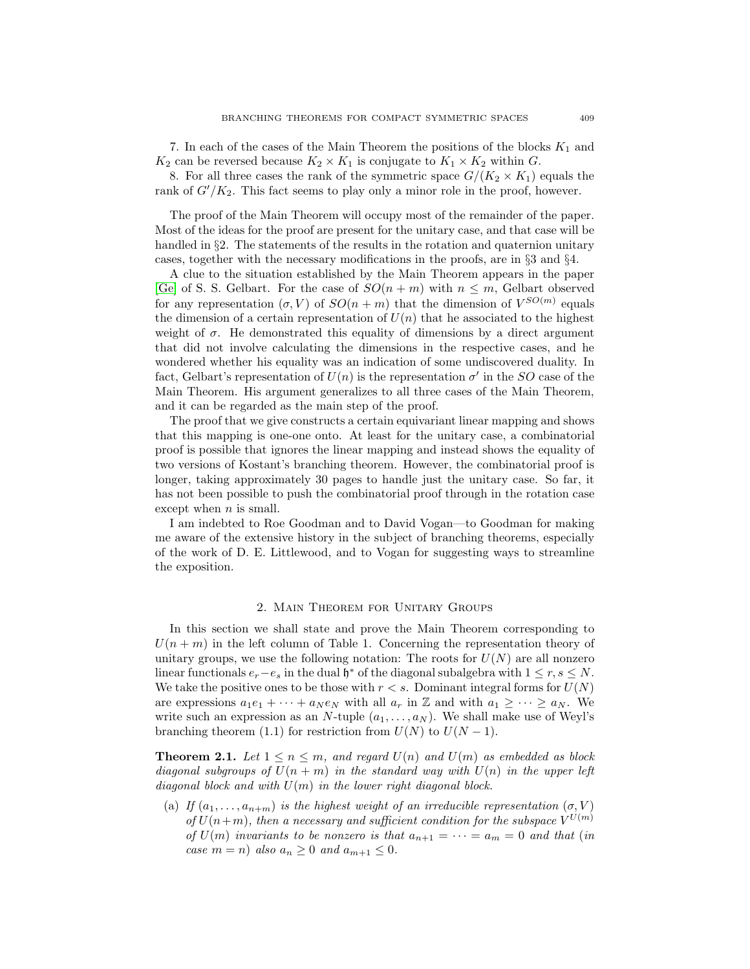7. In each of the cases of the Main Theorem the positions of the blocks  $K_1$  and  $K_2$  can be reversed because  $K_2 \times K_1$  is conjugate to  $K_1 \times K_2$  within G.

8. For all three cases the rank of the symmetric space  $G/(K_2 \times K_1)$  equals the rank of  $G'/K_2$ . This fact seems to play only a minor role in the proof, however.

The proof of the Main Theorem will occupy most of the remainder of the paper. Most of the ideas for the proof are present for the unitary case, and that case will be handled in §2. The statements of the results in the rotation and quaternion unitary cases, together with the necessary modifications in the proofs, are in §3 and §4.

A clue to the situation established by the Main Theorem appears in the paper [\[Ge\]](#page-31-22) of S. S. Gelbart. For the case of  $SO(n+m)$  with  $n \leq m$ , Gelbart observed for any representation  $(\sigma, V)$  of  $SO(n+m)$  that the dimension of  $V^{SO(m)}$  equals the dimension of a certain representation of  $U(n)$  that he associated to the highest weight of  $\sigma$ . He demonstrated this equality of dimensions by a direct argument that did not involve calculating the dimensions in the respective cases, and he wondered whether his equality was an indication of some undiscovered duality. In fact, Gelbart's representation of  $U(n)$  is the representation  $\sigma'$  in the SO case of the Main Theorem. His argument generalizes to all three cases of the Main Theorem, and it can be regarded as the main step of the proof.

The proof that we give constructs a certain equivariant linear mapping and shows that this mapping is one-one onto. At least for the unitary case, a combinatorial proof is possible that ignores the linear mapping and instead shows the equality of two versions of Kostant's branching theorem. However, the combinatorial proof is longer, taking approximately 30 pages to handle just the unitary case. So far, it has not been possible to push the combinatorial proof through in the rotation case except when  $n$  is small.

I am indebted to Roe Goodman and to David Vogan—to Goodman for making me aware of the extensive history in the subject of branching theorems, especially of the work of D. E. Littlewood, and to Vogan for suggesting ways to streamline the exposition.

### 2. Main Theorem for Unitary Groups

In this section we shall state and prove the Main Theorem corresponding to  $U(n + m)$  in the left column of Table 1. Concerning the representation theory of unitary groups, we use the following notation: The roots for  $U(N)$  are all nonzero linear functionals  $e_r - e_s$  in the dual  $\mathfrak{h}^*$  of the diagonal subalgebra with  $1 \leq r, s \leq N$ . We take the positive ones to be those with  $r < s$ . Dominant integral forms for  $U(N)$ are expressions  $a_1e_1 + \cdots + a_N e_N$  with all  $a_r$  in Z and with  $a_1 \geq \cdots \geq a_N$ . We write such an expression as an N-tuple  $(a_1,\ldots,a_N)$ . We shall make use of Weyl's branching theorem (1.1) for restriction from  $U(N)$  to  $U(N-1)$ .

**Theorem 2.1.** Let  $1 \leq n \leq m$ , and regard  $U(n)$  and  $U(m)$  as embedded as block diagonal subgroups of  $U(n + m)$  in the standard way with  $U(n)$  in the upper left diagonal block and with  $U(m)$  in the lower right diagonal block.

(a) If  $(a_1,...,a_{n+m})$  is the highest weight of an irreducible representation  $(\sigma, V)$ of  $U(n+m)$ , then a necessary and sufficient condition for the subspace  $V^{U(m)}$ of  $U(m)$  invariants to be nonzero is that  $a_{n+1} = \cdots = a_m = 0$  and that (in case  $m = n$ ) also  $a_n \geq 0$  and  $a_{m+1} \leq 0$ .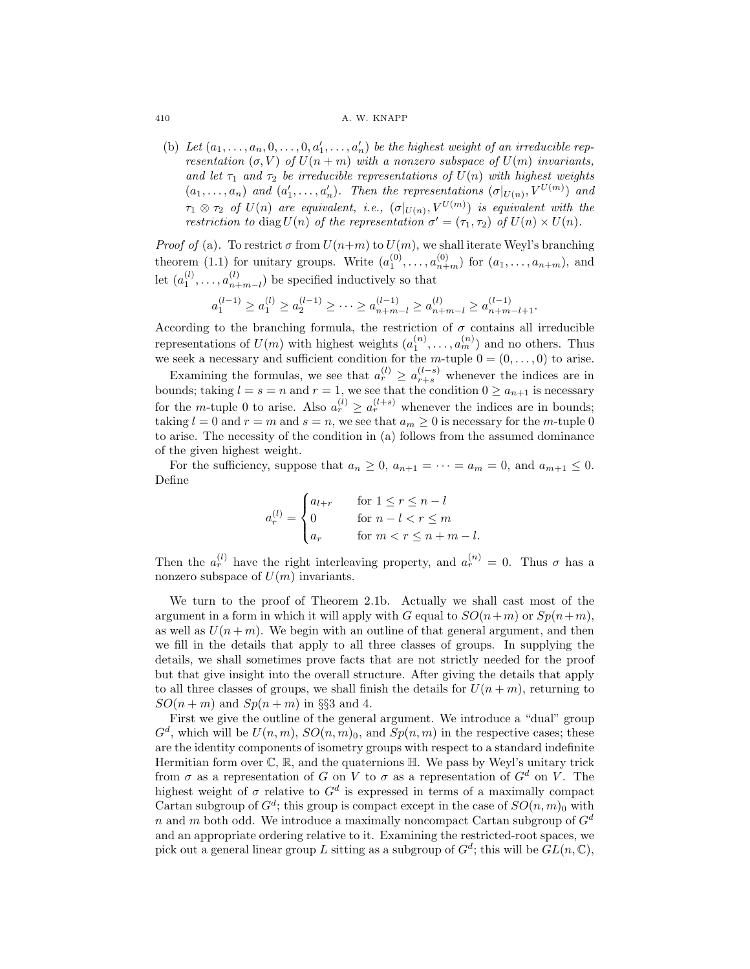#### 410 **A. W. KNAPP**

(b) Let  $(a_1, \ldots, a_n, 0, \ldots, 0, a'_1, \ldots, a'_n)$  be the highest weight of an irreducible representation  $(\sigma, V)$  of  $U(n+m)$  with a nonzero subspace of  $U(m)$  invariants, and let  $\tau_1$  and  $\tau_2$  be irreducible representations of  $U(n)$  with highest weights  $(a_1,...,a_n)$  and  $(a'_1,...,a'_n)$ . Then the representations  $(\sigma|_{U(n)}, V^{U(m)})$  and  $\tau_1 \otimes \tau_2$  of  $U(n)$  are equivalent, i.e.,  $(\sigma|_{U(n)}, V^{U(m)})$  is equivalent with the restriction to diag  $U(n)$  of the representation  $\sigma' = (\tau_1, \tau_2)$  of  $U(n) \times U(n)$ .

*Proof of* (a). To restrict  $\sigma$  from  $U(n+m)$  to  $U(m)$ , we shall iterate Weyl's branching theorem (1.1) for unitary groups. Write  $(a_1^{(0)}, \ldots, a_{n+m}^{(0)})$  for  $(a_1, \ldots, a_{n+m})$ , and let  $(a_1^{(l)}, \ldots, a_{n+m-l}^{(l)})$  be specified inductively so that

$$
a_1^{(l-1)} \ge a_1^{(l)} \ge a_2^{(l-1)} \ge \cdots \ge a_{n+m-l}^{(l-1)} \ge a_{n+m-l}^{(l)} \ge a_{n+m-l+1}^{(l-1)}.
$$

According to the branching formula, the restriction of  $\sigma$  contains all irreducible representations of  $U(m)$  with highest weights  $(a_1^{(n)}, \ldots, a_m^{(n)})$  and no others. Thus we seek a necessary and sufficient condition for the m-tuple  $0 = (0, \ldots, 0)$  to arise.

Examining the formulas, we see that  $a_r^{(l)} \ge a_{r+s}^{(l-s)}$  whenever the indices are in bounds; taking  $l = s = n$  and  $r = 1$ , we see that the condition  $0 \ge a_{n+1}$  is necessary for the m-tuple 0 to arise. Also  $a_r^{(l)} \ge a_r^{(l+s)}$  whenever the indices are in bounds; taking  $l = 0$  and  $r = m$  and  $s = n$ , we see that  $a_m \geq 0$  is necessary for the *m*-tuple 0 to arise. The necessity of the condition in (a) follows from the assumed dominance of the given highest weight.

For the sufficiency, suppose that  $a_n \geq 0$ ,  $a_{n+1} = \cdots = a_m = 0$ , and  $a_{m+1} \leq 0$ . Define

$$
a_r^{(l)} = \begin{cases} a_{l+r} & \text{for } 1 \le r \le n-l \\ 0 & \text{for } n-l < r \le m \\ a_r & \text{for } m < r \le n+m-l. \end{cases}
$$

Then the  $a_r^{(l)}$  have the right interleaving property, and  $a_r^{(n)} = 0$ . Thus  $\sigma$  has a nonzero subspace of  $U(m)$  invariants.

We turn to the proof of Theorem 2.1b. Actually we shall cast most of the argument in a form in which it will apply with G equal to  $SO(n+m)$  or  $Sp(n+m)$ , as well as  $U(n+m)$ . We begin with an outline of that general argument, and then we fill in the details that apply to all three classes of groups. In supplying the details, we shall sometimes prove facts that are not strictly needed for the proof but that give insight into the overall structure. After giving the details that apply to all three classes of groups, we shall finish the details for  $U(n + m)$ , returning to  $SO(n+m)$  and  $Sp(n+m)$  in §§3 and 4.

First we give the outline of the general argument. We introduce a "dual" group  $G<sup>d</sup>$ , which will be  $U(n, m)$ ,  $SO(n, m)$ <sub>0</sub>, and  $Sp(n, m)$  in the respective cases; these are the identity components of isometry groups with respect to a standard indefinite Hermitian form over  $\mathbb{C}, \mathbb{R}$ , and the quaternions  $\mathbb{H}$ . We pass by Weyl's unitary trick from  $\sigma$  as a representation of G on V to  $\sigma$  as a representation of  $G^d$  on V. The highest weight of  $\sigma$  relative to  $G^d$  is expressed in terms of a maximally compact Cartan subgroup of  $G^d$ ; this group is compact except in the case of  $SO(n, m)$ <sup>0</sup> with n and m both odd. We introduce a maximally noncompact Cartan subgroup of  $G<sup>d</sup>$ and an appropriate ordering relative to it. Examining the restricted-root spaces, we pick out a general linear group L sitting as a subgroup of  $G^d$ ; this will be  $GL(n, \mathbb{C})$ ,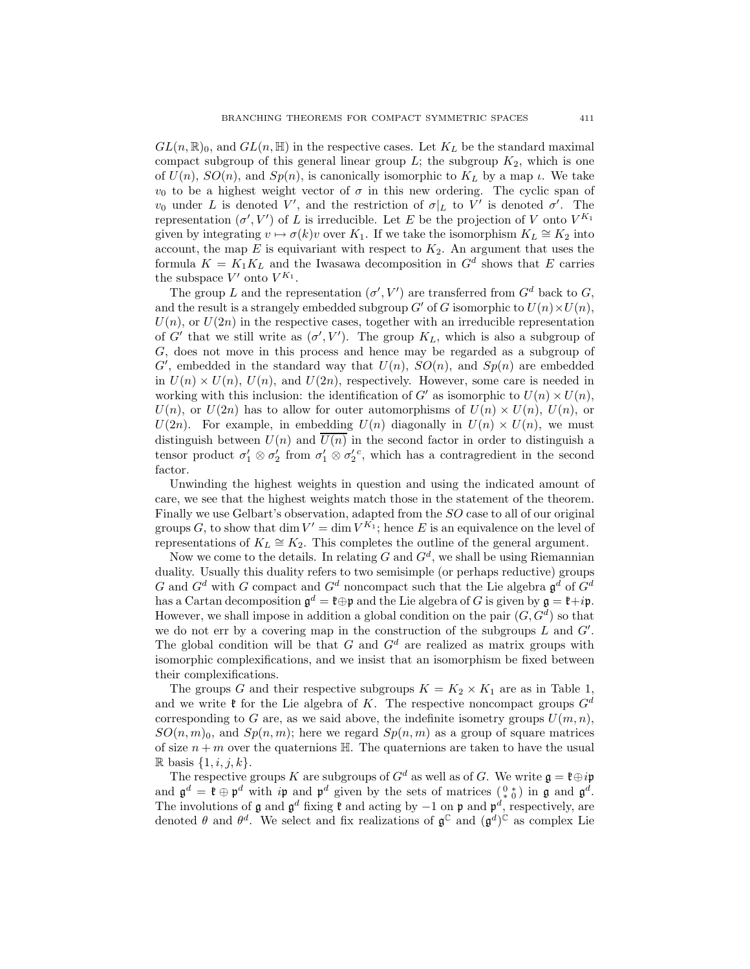$GL(n,\mathbb{R})_0,$  and  $GL(n,\mathbb{H})$  in the respective cases. Let  $K_L$  be the standard maximal compact subgroup of this general linear group  $L$ ; the subgroup  $K_2$ , which is one of  $U(n)$ ,  $SO(n)$ , and  $Sp(n)$ , is canonically isomorphic to  $K<sub>L</sub>$  by a map  $\iota$ . We take  $v_0$  to be a highest weight vector of  $\sigma$  in this new ordering. The cyclic span of  $v_0$  under L is denoted V', and the restriction of  $\sigma|_L$  to V' is denoted  $\sigma'$ . The representation  $(\sigma', V')$  of L is irreducible. Let E be the projection of V onto  $V^{K_1}$ given by integrating  $v \mapsto \sigma(k)v$  over K<sub>1</sub>. If we take the isomorphism  $K_L \cong K_2$  into account, the map  $E$  is equivariant with respect to  $K_2$ . An argument that uses the formula  $K = K_1 K_L$  and the Iwasawa decomposition in  $G<sup>d</sup>$  shows that E carries the subspace  $V'$  onto  $V^{K_1}$ .

The group L and the representation  $(\sigma', V')$  are transferred from  $G^d$  back to G, and the result is a strangely embedded subgroup  $G'$  of G isomorphic to  $U(n) \times U(n)$ ,  $U(n)$ , or  $U(2n)$  in the respective cases, together with an irreducible representation of G' that we still write as  $(\sigma', V')$ . The group  $K_L$ , which is also a subgroup of G, does not move in this process and hence may be regarded as a subgroup of  $G'$ , embedded in the standard way that  $U(n)$ ,  $SO(n)$ , and  $Sp(n)$  are embedded in  $U(n) \times U(n)$ ,  $U(n)$ , and  $U(2n)$ , respectively. However, some care is needed in working with this inclusion: the identification of G' as isomorphic to  $U(n) \times U(n)$ ,  $U(n)$ , or  $U(2n)$  has to allow for outer automorphisms of  $U(n) \times U(n)$ ,  $U(n)$ , or  $U(2n)$ . For example, in embedding  $U(n)$  diagonally in  $U(n) \times U(n)$ , we must distinguish between  $U(n)$  and  $\overline{U(n)}$  in the second factor in order to distinguish a tensor product  $\sigma'_1 \otimes \sigma'_2$  from  $\sigma'_1 \otimes \sigma'_2$ <sup>c</sup>, which has a contragredient in the second factor.

Unwinding the highest weights in question and using the indicated amount of care, we see that the highest weights match those in the statement of the theorem. Finally we use Gelbart's observation, adapted from the SO case to all of our original groups G, to show that dim  $V' = \dim V^{K_1}$ ; hence E is an equivalence on the level of representations of  $K_L \cong K_2$ . This completes the outline of the general argument.

Now we come to the details. In relating G and  $G<sup>d</sup>$ , we shall be using Riemannian duality. Usually this duality refers to two semisimple (or perhaps reductive) groups G and  $G^d$  with G compact and  $G^d$  noncompact such that the Lie algebra  $\mathfrak{g}^d$  of  $G^d$ has a Cartan decomposition  $\mathfrak{g}^d = \mathfrak{k} \oplus \mathfrak{p}$  and the Lie algebra of G is given by  $\mathfrak{g} = \mathfrak{k} + i\mathfrak{p}$ . However, we shall impose in addition a global condition on the pair  $(G, G^d)$  so that we do not err by a covering map in the construction of the subgroups  $L$  and  $G'$ . The global condition will be that G and  $G<sup>d</sup>$  are realized as matrix groups with isomorphic complexifications, and we insist that an isomorphism be fixed between their complexifications.

The groups G and their respective subgroups  $K = K_2 \times K_1$  are as in Table 1, and we write  $\mathfrak k$  for the Lie algebra of K. The respective noncompact groups  $G^d$ corresponding to G are, as we said above, the indefinite isometry groups  $U(m, n)$ ,  $SO(n, m)$ <sub>0</sub>, and  $Sp(n, m)$ ; here we regard  $Sp(n, m)$  as a group of square matrices of size  $n + m$  over the quaternions  $\mathbb{H}$ . The quaternions are taken to have the usual R basis  $\{1, i, j, k\}$ .

The respective groups K are subgroups of  $G^d$  as well as of G. We write  $\mathfrak{g} = \mathfrak{k} \oplus i\mathfrak{p}$ and  $\mathfrak{g}^d = \mathfrak{k} \oplus \mathfrak{p}^d$  with ip and  $\mathfrak{p}^d$  given by the sets of matrices  $\binom{0 *}{*}$  in  $\mathfrak{g}$  and  $\mathfrak{g}^d$ . The involutions of  $\mathfrak g$  and  $\mathfrak g^d$  fixing  $\mathfrak k$  and acting by  $-1$  on  $\mathfrak p$  and  $\mathfrak p^d$ , respectively, are denoted  $\theta$  and  $\theta^d$ . We select and fix realizations of  $\mathfrak{g}^{\mathbb{C}}$  and  $(\mathfrak{g}^d)^{\mathbb{C}}$  as complex Lie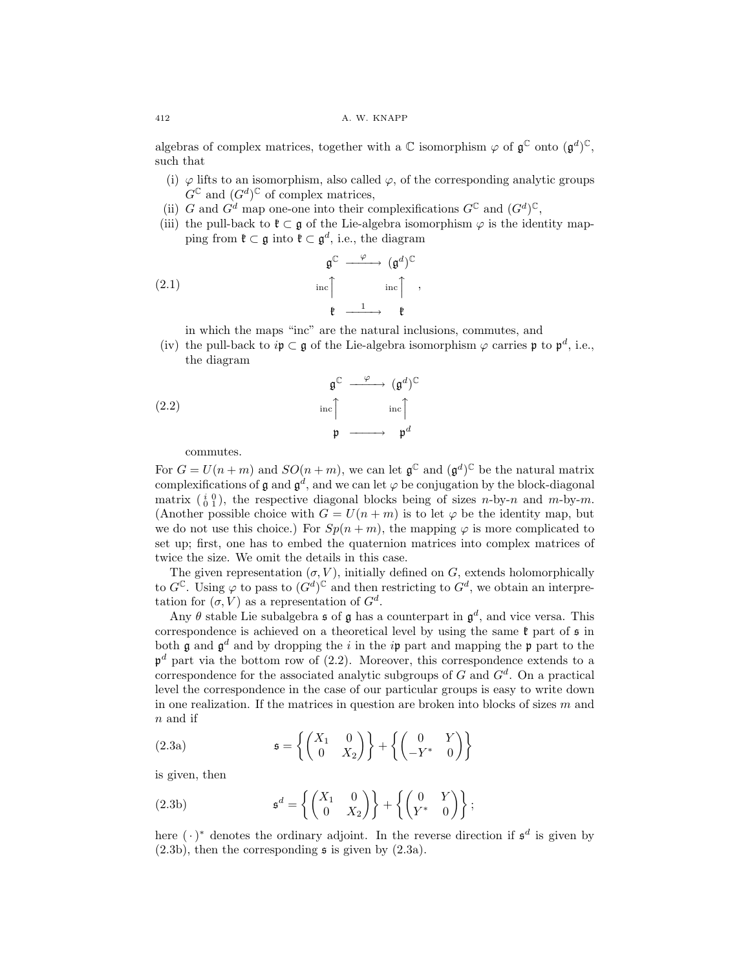### 412 A. W. KNAPP

algebras of complex matrices, together with a  $\mathbb C$  isomorphism  $\varphi$  of  $\mathfrak{g}^{\mathbb C}$  onto  $(\mathfrak{g}^d)^{\mathbb C}$ , such that

- (i)  $\varphi$  lifts to an isomorphism, also called  $\varphi$ , of the corresponding analytic groups  $G^{\mathbb{C}}$  and  $(G^d)^{\mathbb{C}}$  of complex matrices,
- (ii) G and  $G^d$  map one-one into their complexifications  $G^{\mathbb{C}}$  and  $(G^d)^{\mathbb{C}}$ ,
- (iii) the pull-back to  $\mathfrak{k} \subset \mathfrak{g}$  of the Lie-algebra isomorphism  $\varphi$  is the identity mapping from  $\mathfrak{k} \subset \mathfrak{g}$  into  $\mathfrak{k} \subset \mathfrak{g}^d$ , i.e., the diagram

(2.1) 
$$
\mathfrak{g}^{\mathbb{C}} \xrightarrow{\varphi} (\mathfrak{g}^d)^{\mathbb{C}}
$$

$$
\text{inc} \uparrow \text{inc} \uparrow ,
$$

$$
\mathfrak{k} \xrightarrow{\qquad 1} \mathfrak{k}
$$

in which the maps "inc" are the natural inclusions, commutes, and

(iv) the pull-back to  $ip \,\subset g$  of the Lie-algebra isomorphism  $\varphi$  carries p to  $p^d$ , i.e., the diagram

(2.2) 
$$
\mathfrak{g}^{\mathbb{C}} \xrightarrow{\varphi} (\mathfrak{g}^{d})^{\mathbb{C}}
$$

$$
\text{inc} \uparrow \text{inc} \uparrow \text{inc} \uparrow
$$

$$
\mathfrak{p} \xrightarrow{\text{inc} \uparrow} \mathfrak{p}^{d}
$$

commutes.

For  $G = U(n+m)$  and  $SO(n+m)$ , we can let  $\mathfrak{g}^{\mathbb{C}}$  and  $(\mathfrak{g}^d)^{\mathbb{C}}$  be the natural matrix complexifications of g and  $g^d$ , and we can let  $\varphi$  be conjugation by the block-diagonal matrix  $\begin{pmatrix} i & 0 \\ 0 & 1 \end{pmatrix}$ , the respective diagonal blocks being of sizes *n*-by-*n* and *m*-by-*m*. (Another possible choice with  $G = U(n + m)$  is to let  $\varphi$  be the identity map, but we do not use this choice.) For  $Sp(n+m)$ , the mapping  $\varphi$  is more complicated to set up; first, one has to embed the quaternion matrices into complex matrices of twice the size. We omit the details in this case.

The given representation  $(\sigma, V)$ , initially defined on G, extends holomorphically to  $G^{\mathbb{C}}$ . Using  $\varphi$  to pass to  $(G^d)^{\mathbb{C}}$  and then restricting to  $G^d$ , we obtain an interpretation for  $(\sigma, V)$  as a representation of  $G^d$ .

Any  $\theta$  stable Lie subalgebra **s** of **g** has a counterpart in  $\mathfrak{g}^d$ , and vice versa. This correspondence is achieved on a theoretical level by using the same  $\mathfrak k$  part of  $\mathfrak s$  in both g and  $\mathfrak{g}^d$  and by dropping the i in the ip part and mapping the p part to the  $p^d$  part via the bottom row of (2.2). Moreover, this correspondence extends to a correspondence for the associated analytic subgroups of  $G$  and  $G<sup>d</sup>$ . On a practical level the correspondence in the case of our particular groups is easy to write down in one realization. If the matrices in question are broken into blocks of sizes  $m$  and n and if

(2.3a) 
$$
\mathfrak{s} = \left\{ \begin{pmatrix} X_1 & 0 \\ 0 & X_2 \end{pmatrix} \right\} + \left\{ \begin{pmatrix} 0 & Y \\ -Y^* & 0 \end{pmatrix} \right\}
$$

is given, then

(2.3b) 
$$
\mathfrak{s}^d = \left\{ \begin{pmatrix} X_1 & 0 \\ 0 & X_2 \end{pmatrix} \right\} + \left\{ \begin{pmatrix} 0 & Y \\ Y^* & 0 \end{pmatrix} \right\};
$$

here  $(\cdot)^*$  denotes the ordinary adjoint. In the reverse direction if  $\mathfrak{s}^d$  is given by  $(2.3b)$ , then the corresponding  $\frak{s}$  is given by  $(2.3a)$ .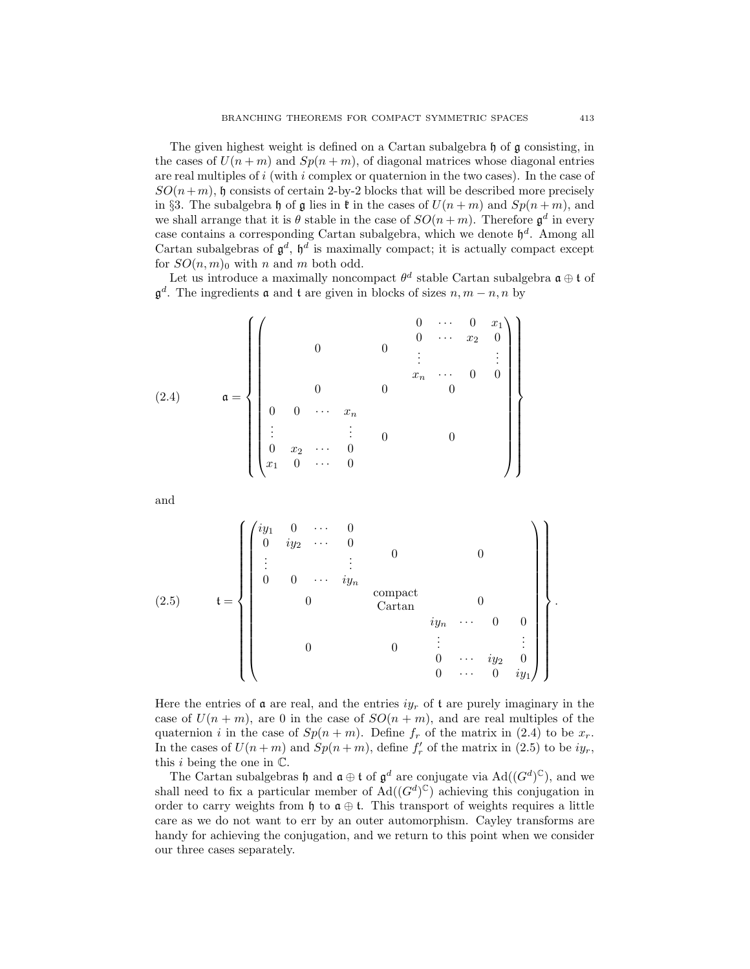The given highest weight is defined on a Cartan subalgebra h of g consisting, in the cases of  $U(n+m)$  and  $Sp(n+m)$ , of diagonal matrices whose diagonal entries are real multiples of  $i$  (with  $i$  complex or quaternion in the two cases). In the case of  $SO(n+m)$ , h consists of certain 2-by-2 blocks that will be described more precisely in §3. The subalgebra h of g lies in  $\mathfrak k$  in the cases of  $U(n+m)$  and  $Sp(n+m)$ , and we shall arrange that it is  $\theta$  stable in the case of  $SO(n+m)$ . Therefore  $\mathfrak{g}^d$  in every case contains a corresponding Cartan subalgebra, which we denote  $\mathfrak{h}^d$ . Among all Cartan subalgebras of  $\mathfrak{g}^d$ ,  $\mathfrak{h}^d$  is maximally compact; it is actually compact except for  $SO(n, m)$ <sub>0</sub> with n and m both odd.

Let us introduce a maximally noncompact  $\theta^d$  stable Cartan subalgebra  $\mathfrak{a} \oplus \mathfrak{t}$  of  $\mathfrak{g}^d$ . The ingredients **a** and **t** are given in blocks of sizes  $n, m-n, n$  by

(2.4) 
$$
\mathfrak{a} = \left\{ \left( \begin{array}{cccccc} & & & & & 0 & \cdots & 0 & x_1 \\ & & & & & 0 & \cdots & x_2 & 0 \\ & & & & & & & \vdots & & \vdots \\ & & & & & & & & \vdots & & \vdots \\ & & & & & & & & & 0 & 0 \\ 0 & 0 & \cdots & x_n & & & & & & 0 \\ & & & & & & & & & & & 0 \\ \vdots & & & & & & & & & & & 0 \\ 0 & x_2 & \cdots & 0 & & & & & & & 0 \\ x_1 & 0 & \cdots & 0 & & & & & & & 0 \end{array} \right) \right\}
$$

and

(2.5) 
$$
\mathbf{t} = \left\{ \begin{pmatrix} iy_1 & 0 & \cdots & 0 \\ 0 & iy_2 & \cdots & 0 & & & \\ \vdots & & \vdots & & 0 & & 0 \\ 0 & 0 & \cdots & iy_n & & & \\ & & 0 & & \text{Cartan} & & 0 \\ & & & & & 0 & \vdots & \vdots \\ & & & & & 0 & \cdots & 0 & 0 \\ & & & & & & 0 & \cdots & i y_2 & 0 \\ & & & & & & & 0 & \cdots & i y_1 \end{pmatrix} \right\}.
$$

Here the entries of  $\alpha$  are real, and the entries  $iy_r$  of  $\alpha$  are purely imaginary in the case of  $U(n + m)$ , are 0 in the case of  $SO(n + m)$ , and are real multiples of the quaternion i in the case of  $Sp(n + m)$ . Define  $f_r$  of the matrix in (2.4) to be  $x_r$ . In the cases of  $U(n+m)$  and  $Sp(n+m)$ , define  $f'_r$  of the matrix in (2.5) to be  $iy_r$ , this  $i$  being the one in  $\mathbb{C}$ .

The Cartan subalgebras h and  $\mathfrak{a} \oplus \mathfrak{t}$  of  $\mathfrak{g}^d$  are conjugate via  $\text{Ad}((G^d)^{\mathbb{C}})$ , and we shall need to fix a particular member of  $\text{Ad}((G^d)^{\mathbb{C}})$  achieving this conjugation in order to carry weights from h to  $a \oplus t$ . This transport of weights requires a little care as we do not want to err by an outer automorphism. Cayley transforms are handy for achieving the conjugation, and we return to this point when we consider our three cases separately.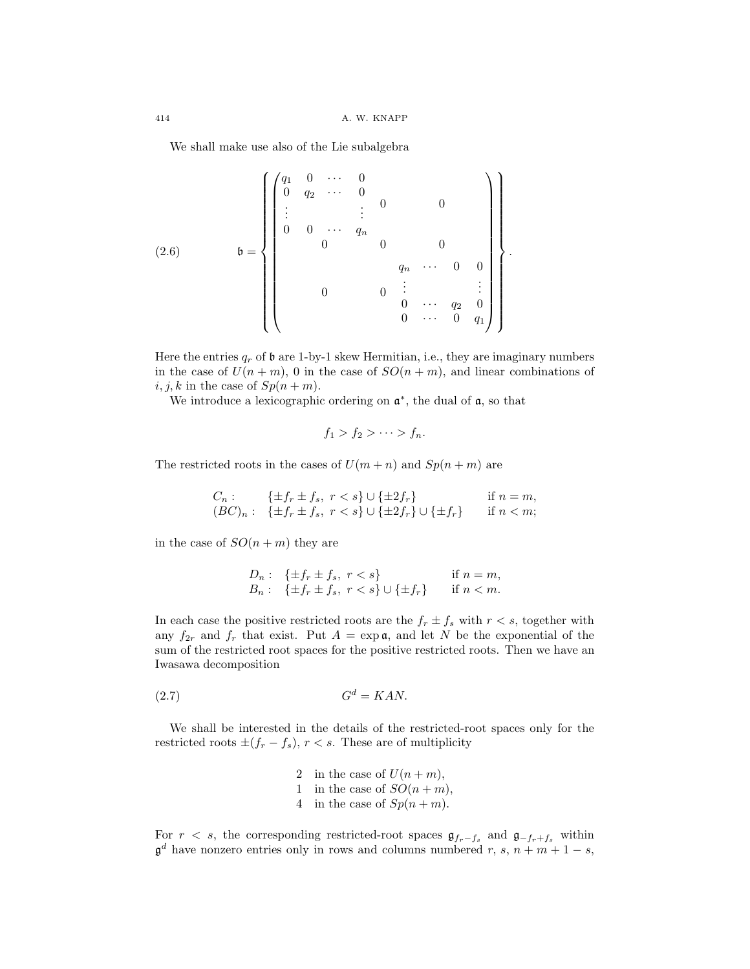We shall make use also of the Lie subalgebra

(2.6) 
$$
\mathfrak{b} = \left\{ \begin{pmatrix} q_1 & 0 & \cdots & 0 \\ 0 & q_2 & \cdots & 0 & & \\ \vdots & & \vdots & & 0 & 0 \\ 0 & 0 & \cdots & q_n & & \\ & & 0 & & 0 & 0 \\ & & & & q_n & \cdots & 0 & 0 \\ & & & & & & \vdots & \\ & & & & & 0 & \cdots & q_2 & 0 \\ & & & & & & 0 & \cdots & 0 & q_1 \end{pmatrix} \right\}.
$$

Here the entries  $q_r$  of  $\mathfrak b$  are 1-by-1 skew Hermitian, i.e., they are imaginary numbers in the case of  $U(n+m)$ , 0 in the case of  $SO(n+m)$ , and linear combinations of  $i, j, k$  in the case of  $Sp(n+m)$ .

We introduce a lexicographic ordering on  $\mathfrak{a}^*$ , the dual of  $\mathfrak{a}$ , so that

$$
f_1 > f_2 > \cdots > f_n.
$$

The restricted roots in the cases of  $U(m + n)$  and  $Sp(n + m)$  are

$$
C_n: \{ \pm f_r \pm f_s, \ r < s \} \cup \{ \pm 2f_r \} \quad \text{if } n = m, (BC)_n: \{ \pm f_r \pm f_s, \ r < s \} \cup \{ \pm 2f_r \} \cup \{ \pm f_r \} \quad \text{if } n < m;
$$

in the case of  $SO(n+m)$  they are

$$
D_n: \quad \{\pm f_r \pm f_s, \ r < s\} \quad \text{if } n = m,
$$
\n
$$
B_n: \quad \{\pm f_r \pm f_s, \ r < s\} \cup \{\pm f_r\} \quad \text{if } n < m.
$$

In each case the positive restricted roots are the  $f_r \pm f_s$  with  $r < s$ , together with any  $f_{2r}$  and  $f_r$  that exist. Put  $A = \exp \mathfrak{a}$ , and let N be the exponential of the sum of the restricted root spaces for the positive restricted roots. Then we have an Iwasawa decomposition

$$
(2.7) \tGd = KAN.
$$

We shall be interested in the details of the restricted-root spaces only for the restricted roots  $\pm (f_r - f_s)$ ,  $r < s$ . These are of multiplicity

> 2 in the case of  $U(n+m)$ , 1 in the case of  $SO(n+m)$ , 4 in the case of  $Sp(n+m)$ .

For  $r < s$ , the corresponding restricted-root spaces  $\mathfrak{g}_{f_r-f_s}$  and  $\mathfrak{g}_{-f_r+f_s}$  within  $\mathfrak{g}^d$  have nonzero entries only in rows and columns numbered r, s,  $n + m + 1 - s$ ,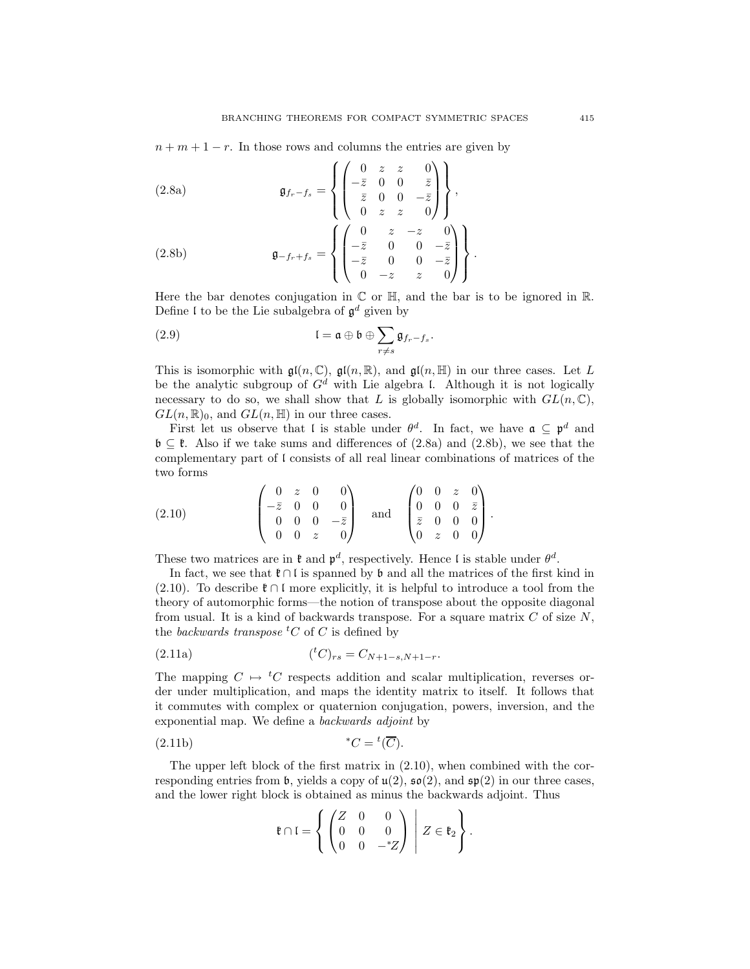$n + m + 1 - r$ . In those rows and columns the entries are given by

(2.8a)  
\n
$$
\mathfrak{g}_{f_r-f_s} = \left\{ \begin{pmatrix} 0 & z & z & 0 \\ -\bar{z} & 0 & 0 & \bar{z} \\ \bar{z} & 0 & 0 & -\bar{z} \\ 0 & z & z & 0 \end{pmatrix} \right\},
$$
\n
$$
(2.8b)
$$
\n
$$
\mathfrak{g}_{-f_r+f_s} = \left\{ \begin{pmatrix} 0 & z & -z & 0 \\ -\bar{z} & 0 & 0 & -\bar{z} \\ -\bar{z} & 0 & 0 & -\bar{z} \\ 0 & -z & z & 0 \end{pmatrix} \right\}.
$$

Here the bar denotes conjugation in  $\mathbb C$  or  $\mathbb H$ , and the bar is to be ignored in  $\mathbb R$ . Define I to be the Lie subalgebra of  $\mathfrak{g}^d$  given by

(2.9) 
$$
\mathfrak{l} = \mathfrak{a} \oplus \mathfrak{b} \oplus \sum_{r \neq s} \mathfrak{g}_{f_r - f_s}.
$$

This is isomorphic with  $\mathfrak{gl}(n,\mathbb{C})$ ,  $\mathfrak{gl}(n,\mathbb{R})$ , and  $\mathfrak{gl}(n,\mathbb{H})$  in our three cases. Let L be the analytic subgroup of  $G^d$  with Lie algebra l. Although it is not logically necessary to do so, we shall show that L is globally isomorphic with  $GL(n, \mathbb{C})$ ,  $GL(n,\mathbb{R})_0$ , and  $GL(n,\mathbb{H})$  in our three cases.

First let us observe that l is stable under  $\theta^d$ . In fact, we have  $\mathfrak{a} \subseteq \mathfrak{p}^d$  and  $\mathfrak{b} \subseteq \mathfrak{k}$ . Also if we take sums and differences of (2.8a) and (2.8b), we see that the complementary part of l consists of all real linear combinations of matrices of the two forms

$$
(2.10) \qquad \begin{pmatrix} 0 & z & 0 & 0 \\ -\bar{z} & 0 & 0 & 0 \\ 0 & 0 & 0 & -\bar{z} \\ 0 & 0 & z & 0 \end{pmatrix} \quad \text{and} \quad \begin{pmatrix} 0 & 0 & z & 0 \\ 0 & 0 & 0 & \bar{z} \\ \bar{z} & 0 & 0 & 0 \\ 0 & z & 0 & 0 \end{pmatrix}.
$$

These two matrices are in  $\mathfrak k$  and  $\mathfrak p^d$ , respectively. Hence l is stable under  $\theta^d$ .

In fact, we see that  $\mathfrak{k} \cap \mathfrak{l}$  is spanned by  $\mathfrak{b}$  and all the matrices of the first kind in (2.10). To describe  $\mathfrak{k} \cap \mathfrak{l}$  more explicitly, it is helpful to introduce a tool from the theory of automorphic forms—the notion of transpose about the opposite diagonal from usual. It is a kind of backwards transpose. For a square matrix  $C$  of size  $N$ , the *backwards* transpose  ${}^tC$  of C is defined by

(2.11a) 
$$
({}^{t}C)_{rs} = C_{N+1-s, N+1-r}.
$$

The mapping  $C \mapsto {}^tC$  respects addition and scalar multiplication, reverses order under multiplication, and maps the identity matrix to itself. It follows that it commutes with complex or quaternion conjugation, powers, inversion, and the exponential map. We define a backwards adjoint by

$$
(2.11b) \t\t *C = {}^{t}(\overline{C}).
$$

The upper left block of the first matrix in (2.10), when combined with the corresponding entries from b, yields a copy of  $u(2)$ ,  $\mathfrak{so}(2)$ , and  $\mathfrak{sp}(2)$  in our three cases, and the lower right block is obtained as minus the backwards adjoint. Thus

$$
\mathfrak{k} \cap \mathfrak{l} = \left\{ \begin{pmatrix} Z & 0 & 0 \\ 0 & 0 & 0 \\ 0 & 0 & -zZ \end{pmatrix} \ \middle| \ Z \in \mathfrak{k}_2 \right\}.
$$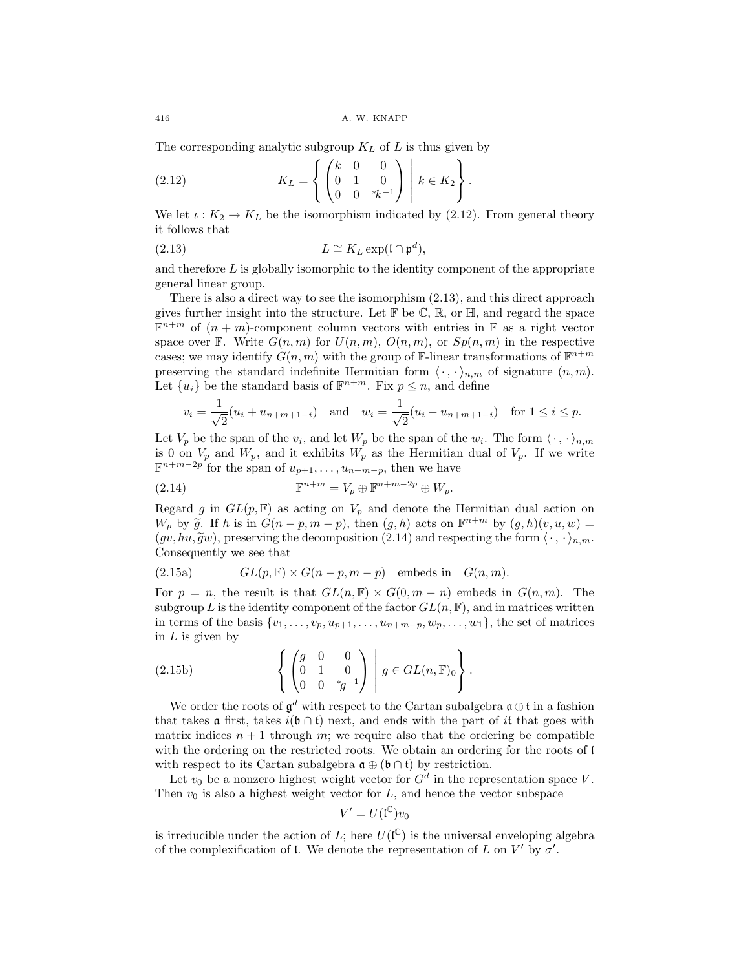The corresponding analytic subgroup  $K_L$  of  $L$  is thus given by

(2.12) 
$$
K_L = \left\{ \begin{pmatrix} k & 0 & 0 \\ 0 & 1 & 0 \\ 0 & 0 & *k^{-1} \end{pmatrix} \middle| k \in K_2 \right\}.
$$

We let  $\iota: K_2 \to K_L$  be the isomorphism indicated by (2.12). From general theory it follows that

(2.13) 
$$
L \cong K_L \exp(\mathfrak{l} \cap \mathfrak{p}^d),
$$

and therefore  $L$  is globally isomorphic to the identity component of the appropriate general linear group.

There is also a direct way to see the isomorphism (2.13), and this direct approach gives further insight into the structure. Let  $\mathbb{F}$  be  $\mathbb{C}$ ,  $\mathbb{R}$ , or  $\mathbb{H}$ , and regard the space  $\mathbb{F}^{n+m}$  of  $(n+m)$ -component column vectors with entries in  $\mathbb{F}$  as a right vector space over F. Write  $G(n, m)$  for  $U(n, m)$ ,  $O(n, m)$ , or  $Sp(n, m)$  in the respective cases; we may identify  $G(n, m)$  with the group of F-linear transformations of  $\mathbb{F}^{n+m}$ preserving the standard indefinite Hermitian form  $\langle \cdot, \cdot \rangle_{n,m}$  of signature  $(n, m)$ . Let  $\{u_i\}$  be the standard basis of  $\mathbb{F}^{n+m}$ . Fix  $p \leq n$ , and define

$$
v_i = \frac{1}{\sqrt{2}}(u_i + u_{n+m+1-i})
$$
 and  $w_i = \frac{1}{\sqrt{2}}(u_i - u_{n+m+1-i})$  for  $1 \le i \le p$ .

Let  $V_p$  be the span of the  $v_i$ , and let  $W_p$  be the span of the  $w_i$ . The form  $\langle \cdot, \cdot \rangle_{n,m}$ is 0 on  $V_p$  and  $W_p$ , and it exhibits  $W_p$  as the Hermitian dual of  $V_p$ . If we write  $\mathbb{F}^{n+m-2p}$  for the span of  $u_{p+1},\ldots,u_{n+m-p}$ , then we have

(2.14) 
$$
\mathbb{F}^{n+m} = V_p \oplus \mathbb{F}^{n+m-2p} \oplus W_p.
$$

Regard g in  $GL(p, \mathbb{F})$  as acting on  $V_p$  and denote the Hermitian dual action on W<sub>p</sub> by  $\widetilde{g}$ . If h is in  $G(n-p, m-p)$ , then  $(g, h)$  acts on  $\mathbb{F}^{n+m}$  by  $(g, h)(v, u, w) =$  $(gv, hu, \tilde{g}w)$ , preserving the decomposition (2.14) and respecting the form  $\langle \cdot, \cdot \rangle_{n,m}$ . Consequently we see that

(2.15a) 
$$
GL(p, \mathbb{F}) \times G(n-p, m-p) \text{ embeds in } G(n,m).
$$

For  $p = n$ , the result is that  $GL(n, \mathbb{F}) \times G(0, m - n)$  embeds in  $G(n, m)$ . The subgroup L is the identity component of the factor  $GL(n, \mathbb{F})$ , and in matrices written in terms of the basis  $\{v_1,\ldots,v_p,u_{p+1},\ldots,u_{n+m-p},w_p,\ldots,w_1\}$ , the set of matrices in  $L$  is given by

(2.15b) 
$$
\left\{ \begin{pmatrix} g & 0 & 0 \\ 0 & 1 & 0 \\ 0 & 0 & {}^{*}g^{-1} \end{pmatrix} \middle| g \in GL(n, \mathbb{F})_0 \right\}.
$$

We order the roots of  $\mathfrak{g}^d$  with respect to the Cartan subalgebra  $\mathfrak{a} \oplus \mathfrak{t}$  in a fashion that takes a first, takes  $i(\mathfrak{b} \cap \mathfrak{t})$  next, and ends with the part of it that goes with matrix indices  $n + 1$  through m; we require also that the ordering be compatible with the ordering on the restricted roots. We obtain an ordering for the roots of l with respect to its Cartan subalgebra  $\mathfrak{a} \oplus (\mathfrak{b} \cap \mathfrak{t})$  by restriction.

Let  $v_0$  be a nonzero highest weight vector for  $G^d$  in the representation space V. Then  $v_0$  is also a highest weight vector for  $L$ , and hence the vector subspace

$$
V' = U(\mathfrak{l}^{\mathbb{C}})v_0
$$

is irreducible under the action of L; here  $U(\mathbb{C})$  is the universal enveloping algebra of the complexification of l. We denote the representation of L on  $V'$  by  $\sigma'$ .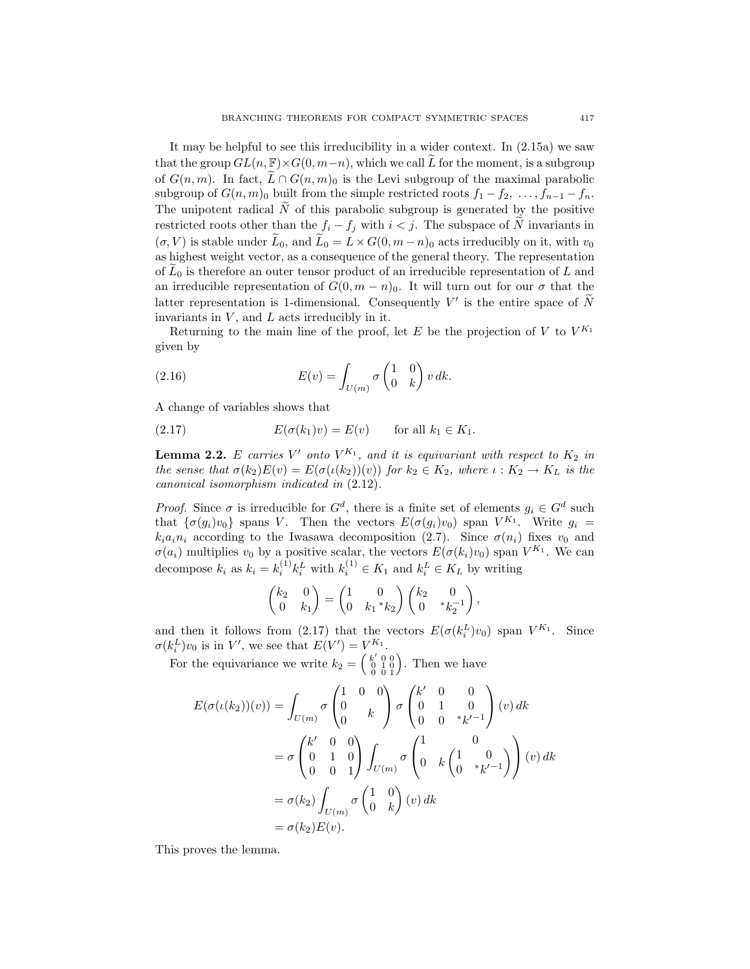It may be helpful to see this irreducibility in a wider context. In (2.15a) we saw that the group  $GL(n, \mathbb{F}) \times G(0, m-n)$ , which we call L for the moment, is a subgroup of  $G(n, m)$ . In fact,  $\widetilde{L} \cap G(n, m)$  is the Levi subgroup of the maximal parabolic subgroup of  $G(n, m)$ <sup>0</sup> built from the simple restricted roots  $f_1 - f_2, \ldots, f_{n-1} - f_n$ . The unipotent radical  $\tilde{N}$  of this parabolic subgroup is generated by the positive restricted roots other than the  $f_i - f_j$  with  $i < j$ . The subspace of  $\widetilde{N}$  invariants in  $(\sigma, V)$  is stable under  $\widetilde{L}_0,$  and  $\widetilde{L}_0 = L \times G(0, m-n)_0$  acts irreducibly on it, with  $v_0$ as highest weight vector, as a consequence of the general theory. The representation of  $L_0$  is therefore an outer tensor product of an irreducible representation of L and an irreducible representation of  $G(0, m - n)$ . It will turn out for our  $\sigma$  that the latter representation is 1-dimensional. Consequently V' is the entire space of  $\tilde{N}$ invariants in  $V$ , and  $L$  acts irreducibly in it.

Returning to the main line of the proof, let E be the projection of V to  $V^{K_1}$ given by

(2.16) 
$$
E(v) = \int_{U(m)} \sigma \begin{pmatrix} 1 & 0 \\ 0 & k \end{pmatrix} v dk.
$$

A change of variables shows that

(2.17) 
$$
E(\sigma(k_1)v) = E(v) \quad \text{for all } k_1 \in K_1.
$$

**Lemma 2.2.** E carries  $V'$  onto  $V^{K_1}$ , and it is equivariant with respect to  $K_2$  in the sense that  $\sigma(k_2)E(v) = E(\sigma(\iota(k_2))(v))$  for  $k_2 \in K_2$ , where  $\iota: K_2 \to K_L$  is the canonical isomorphism indicated in (2.12).

*Proof.* Since  $\sigma$  is irreducible for  $G^d$ , there is a finite set of elements  $g_i \in G^d$  such that  $\{\sigma(g_i)v_0\}$  spans V. Then the vectors  $E(\sigma(g_i)v_0)$  span  $V^{K_1}$ . Write  $g_i =$  $k_i a_i n_i$  according to the Iwasawa decomposition (2.7). Since  $\sigma(n_i)$  fixes  $v_0$  and  $\sigma(a_i)$  multiplies  $v_0$  by a positive scalar, the vectors  $E(\sigma(k_i)v_0)$  span  $V^{K_1}$ . We can decompose  $k_i$  as  $k_i = k_i^{(1)} k_i^L$  with  $k_i^{(1)} \in K_1$  and  $k_i^L \in K_L$  by writing

$$
\begin{pmatrix} k_2 & 0 \ 0 & k_1 \end{pmatrix} = \begin{pmatrix} 1 & 0 \ 0 & k_1 \end{pmatrix} \begin{pmatrix} k_2 & 0 \ 0 & \ast k_2^{-1} \end{pmatrix},
$$

and then it follows from (2.17) that the vectors  $E(\sigma(k_i^L)v_0)$  span  $V^{K_1}$ . Since  $\sigma(k_i^L)v_0$  is in V', we see that  $E(V') = V^{K_1}$ .

For the equivariance we write  $k_2 = \begin{pmatrix} k' & 0 & 0 \\ 0 & 1 & 0 \\ 0 & 0 & 1 \end{pmatrix}$ . Then we have

$$
E(\sigma(\iota(k_2))(v)) = \int_{U(m)} \sigma \begin{pmatrix} 1 & 0 & 0 \\ 0 & k \end{pmatrix} \sigma \begin{pmatrix} k' & 0 & 0 \\ 0 & 1 & 0 \\ 0 & 0 & *k'^{-1} \end{pmatrix} (v) dk
$$
  
=  $\sigma \begin{pmatrix} k' & 0 & 0 \\ 0 & 1 & 0 \\ 0 & 0 & 1 \end{pmatrix} \int_{U(m)} \sigma \begin{pmatrix} 1 & 0 \\ 0 & k \begin{pmatrix} 1 & 0 \\ 0 & *k'^{-1} \end{pmatrix} \end{pmatrix} (v) dk$   
=  $\sigma(k_2) \int_{U(m)} \sigma \begin{pmatrix} 1 & 0 \\ 0 & k \end{pmatrix} (v) dk$   
=  $\sigma(k_2) E(v).$ 

This proves the lemma.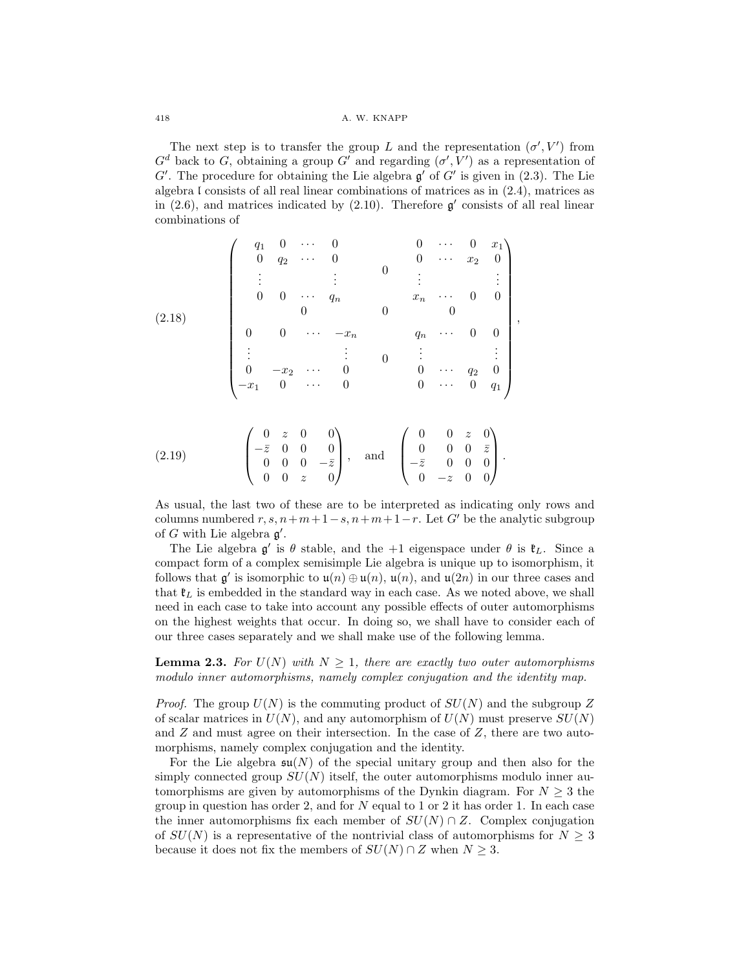418 A. W. KNAPP

The next step is to transfer the group L and the representation  $(\sigma', V')$  from  $G<sup>d</sup>$  back to G, obtaining a group G' and regarding  $(\sigma', V')$  as a representation of  $G'$ . The procedure for obtaining the Lie algebra  $\mathfrak{g}'$  of  $G'$  is given in (2.3). The Lie algebra l consists of all real linear combinations of matrices as in (2.4), matrices as in (2.6), and matrices indicated by (2.10). Therefore  $\mathfrak{g}'$  consists of all real linear combinations of

$$
(2.18)
$$
\n
$$
\begin{pmatrix}\nq_1 & 0 & \cdots & 0 & 0 & \cdots & 0 & x_1 \\
0 & q_2 & \cdots & 0 & 0 & \cdots & x_2 & 0 \\
\vdots & \vdots & \vdots & & \vdots & & \vdots & & \vdots \\
0 & 0 & \cdots & q_n & & x_n & \cdots & 0 & 0 \\
0 & 0 & \cdots & -x_n & & q_n & \cdots & 0 & 0 \\
\vdots & \vdots & \vdots & & 0 & \vdots & & \vdots & \vdots \\
0 & -x_2 & \cdots & 0 & & 0 & \cdots & q_2 & 0 \\
-x_1 & 0 & \cdots & 0 & & 0 & \cdots & 0 & q_1\n\end{pmatrix},
$$
\n
$$
(2.18)
$$

$$
(2.19) \qquad \begin{pmatrix} 0 & z & 0 & 0 \\ -\bar{z} & 0 & 0 & 0 \\ 0 & 0 & 0 & -\bar{z} \\ 0 & 0 & z & 0 \end{pmatrix}, \quad \text{and} \quad \begin{pmatrix} 0 & 0 & z & 0 \\ 0 & 0 & 0 & \bar{z} \\ -\bar{z} & 0 & 0 & 0 \\ 0 & -z & 0 & 0 \end{pmatrix}.
$$

As usual, the last two of these are to be interpreted as indicating only rows and columns numbered  $r, s, n+m+1-s, n+m+1-r$ . Let G' be the analytic subgroup of G with Lie algebra  $\mathfrak{g}'$ .

The Lie algebra  $g'$  is  $\theta$  stable, and the +1 eigenspace under  $\theta$  is  $\mathfrak{k}_L$ . Since a compact form of a complex semisimple Lie algebra is unique up to isomorphism, it follows that  $\mathfrak{g}'$  is isomorphic to  $\mathfrak{u}(n) \oplus \mathfrak{u}(n)$ ,  $\mathfrak{u}(n)$ , and  $\mathfrak{u}(2n)$  in our three cases and that  $\mathfrak{k}_L$  is embedded in the standard way in each case. As we noted above, we shall need in each case to take into account any possible effects of outer automorphisms on the highest weights that occur. In doing so, we shall have to consider each of our three cases separately and we shall make use of the following lemma.

**Lemma 2.3.** For  $U(N)$  with  $N \geq 1$ , there are exactly two outer automorphisms modulo inner automorphisms, namely complex conjugation and the identity map.

*Proof.* The group  $U(N)$  is the commuting product of  $SU(N)$  and the subgroup Z of scalar matrices in  $U(N)$ , and any automorphism of  $U(N)$  must preserve  $SU(N)$ and  $Z$  and must agree on their intersection. In the case of  $Z$ , there are two automorphisms, namely complex conjugation and the identity.

For the Lie algebra  $\mathfrak{su}(N)$  of the special unitary group and then also for the simply connected group  $SU(N)$  itself, the outer automorphisms modulo inner automorphisms are given by automorphisms of the Dynkin diagram. For  $N \geq 3$  the group in question has order 2, and for  $N$  equal to 1 or 2 it has order 1. In each case the inner automorphisms fix each member of  $SU(N) \cap Z$ . Complex conjugation of  $SU(N)$  is a representative of the nontrivial class of automorphisms for  $N \geq 3$ because it does not fix the members of  $SU(N) \cap Z$  when  $N \geq 3$ .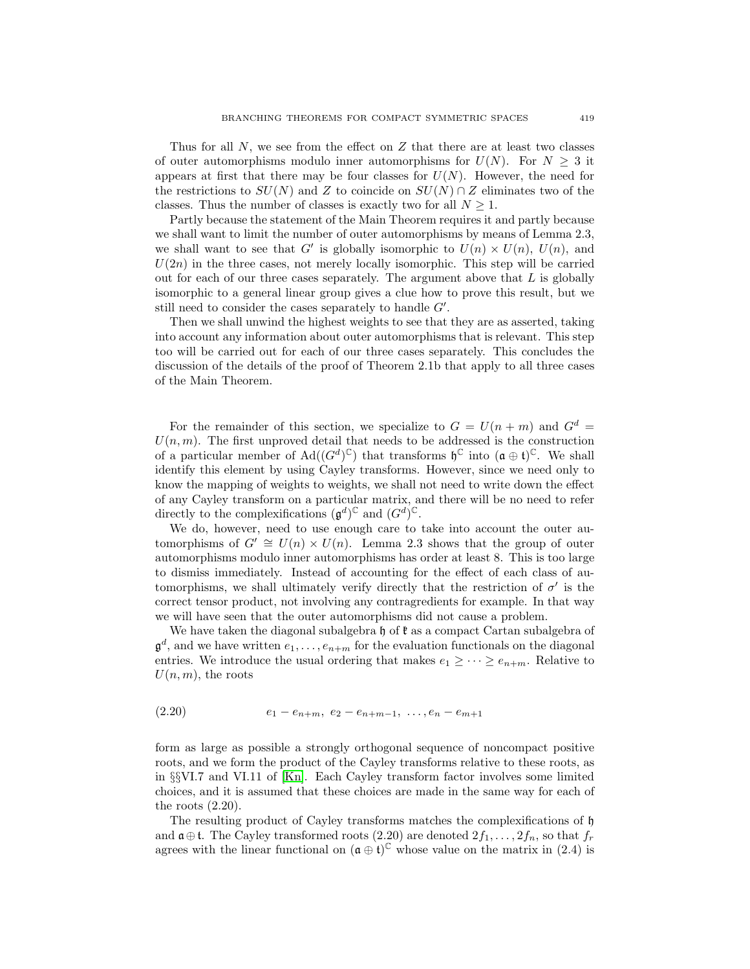Thus for all  $N$ , we see from the effect on  $Z$  that there are at least two classes of outer automorphisms modulo inner automorphisms for  $U(N)$ . For  $N \geq 3$  it appears at first that there may be four classes for  $U(N)$ . However, the need for the restrictions to  $SU(N)$  and Z to coincide on  $SU(N) \cap Z$  eliminates two of the classes. Thus the number of classes is exactly two for all  $N \geq 1$ .

Partly because the statement of the Main Theorem requires it and partly because we shall want to limit the number of outer automorphisms by means of Lemma 2.3, we shall want to see that G' is globally isomorphic to  $U(n) \times U(n)$ ,  $U(n)$ , and  $U(2n)$  in the three cases, not merely locally isomorphic. This step will be carried out for each of our three cases separately. The argument above that  $L$  is globally isomorphic to a general linear group gives a clue how to prove this result, but we still need to consider the cases separately to handle  $G'$ .

Then we shall unwind the highest weights to see that they are as asserted, taking into account any information about outer automorphisms that is relevant. This step too will be carried out for each of our three cases separately. This concludes the discussion of the details of the proof of Theorem 2.1b that apply to all three cases of the Main Theorem.

For the remainder of this section, we specialize to  $G = U(n+m)$  and  $G<sup>d</sup> =$  $U(n, m)$ . The first unproved detail that needs to be addressed is the construction of a particular member of  $\text{Ad}((G^d)^{\mathbb{C}})$  that transforms  $\mathfrak{h}^{\mathbb{C}}$  into  $(\mathfrak{a} \oplus \mathfrak{t})^{\mathbb{C}}$ . We shall identify this element by using Cayley transforms. However, since we need only to know the mapping of weights to weights, we shall not need to write down the effect of any Cayley transform on a particular matrix, and there will be no need to refer directly to the complexifications  $(\mathfrak{g}^d)^{\mathbb{C}}$  and  $(G^d)^{\mathbb{C}}$ .

We do, however, need to use enough care to take into account the outer automorphisms of  $G' \cong U(n) \times U(n)$ . Lemma 2.3 shows that the group of outer automorphisms modulo inner automorphisms has order at least 8. This is too large to dismiss immediately. Instead of accounting for the effect of each class of automorphisms, we shall ultimately verify directly that the restriction of  $\sigma'$  is the correct tensor product, not involving any contragredients for example. In that way we will have seen that the outer automorphisms did not cause a problem.

We have taken the diagonal subalgebra  $\mathfrak h$  of  $\mathfrak k$  as a compact Cartan subalgebra of  $\mathfrak{g}^d$ , and we have written  $e_1,\ldots,e_{n+m}$  for the evaluation functionals on the diagonal entries. We introduce the usual ordering that makes  $e_1 \geq \cdots \geq e_{n+m}$ . Relative to  $U(n, m)$ , the roots

$$
(2.20) \t\t e_1 - e_{n+m}, \ e_2 - e_{n+m-1}, \ \dots, e_n - e_{m+1}
$$

form as large as possible a strongly orthogonal sequence of noncompact positive roots, and we form the product of the Cayley transforms relative to these roots, as in §§VI.7 and VI.11 of [\[Kn\]](#page-31-6). Each Cayley transform factor involves some limited choices, and it is assumed that these choices are made in the same way for each of the roots  $(2.20)$ .

The resulting product of Cayley transforms matches the complexifications of h and  $\mathfrak{a} \oplus \mathfrak{t}$ . The Cayley transformed roots (2.20) are denoted  $2f_1, \ldots, 2f_n$ , so that  $f_r$ agrees with the linear functional on  $(\mathfrak{a} \oplus \mathfrak{t})^{\mathbb{C}}$  whose value on the matrix in (2.4) is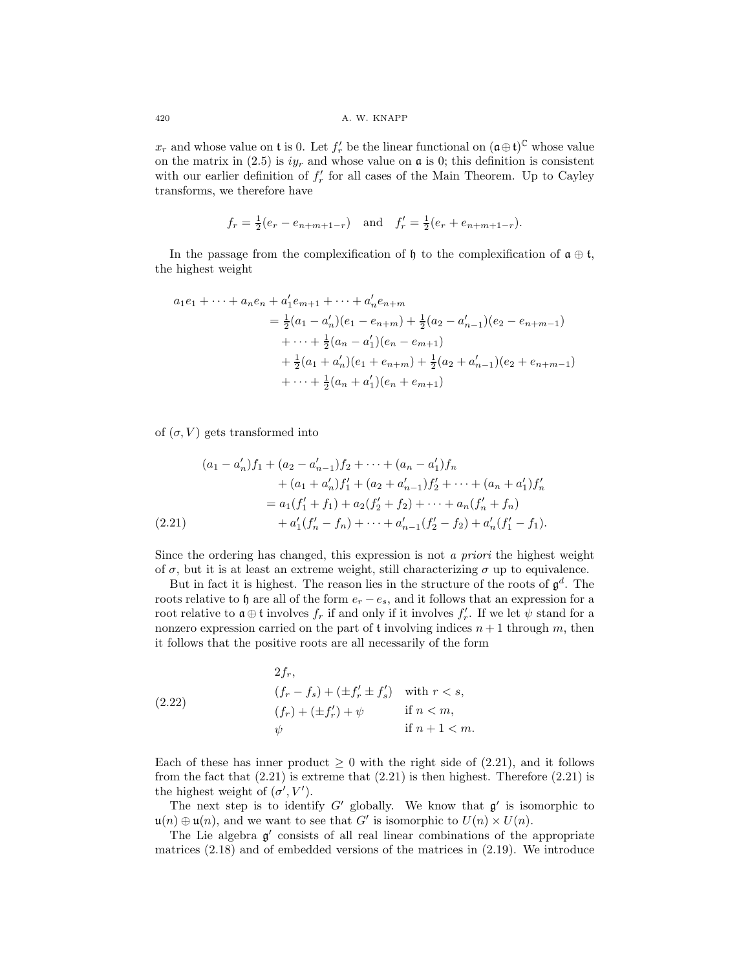$x_r$  and whose value on t is 0. Let  $f'_r$  be the linear functional on  $(\mathfrak{a} \oplus \mathfrak{t})^{\mathbb{C}}$  whose value on the matrix in (2.5) is  $iy_r$  and whose value on  $\alpha$  is 0; this definition is consistent with our earlier definition of  $f'_r$  for all cases of the Main Theorem. Up to Cayley transforms, we therefore have

$$
f_r = \frac{1}{2}(e_r - e_{n+m+1-r})
$$
 and  $f'_r = \frac{1}{2}(e_r + e_{n+m+1-r}).$ 

In the passage from the complexification of  $\mathfrak{h}$  to the complexification of  $\mathfrak{a} \oplus \mathfrak{t}$ , the highest weight

$$
a_1e_1 + \dots + a_ne_n + a'_1e_{m+1} + \dots + a'_ne_{n+m}
$$
  
=  $\frac{1}{2}(a_1 - a'_n)(e_1 - e_{n+m}) + \frac{1}{2}(a_2 - a'_{n-1})(e_2 - e_{n+m-1})$   
+  $\dots + \frac{1}{2}(a_n - a'_1)(e_n - e_{m+1})$   
+  $\frac{1}{2}(a_1 + a'_n)(e_1 + e_{n+m}) + \frac{1}{2}(a_2 + a'_{n-1})(e_2 + e_{n+m-1})$   
+  $\dots + \frac{1}{2}(a_n + a'_1)(e_n + e_{m+1})$ 

of  $(\sigma, V)$  gets transformed into

$$
(a_1 - a'_n) f_1 + (a_2 - a'_{n-1}) f_2 + \dots + (a_n - a'_1) f_n
$$
  
+ 
$$
(a_1 + a'_n) f'_1 + (a_2 + a'_{n-1}) f'_2 + \dots + (a_n + a'_1) f'_n
$$
  
= 
$$
a_1 (f'_1 + f_1) + a_2 (f'_2 + f_2) + \dots + a_n (f'_n + f_n)
$$
  
(2.21) 
$$
+ a'_1 (f'_n - f_n) + \dots + a'_{n-1} (f'_2 - f_2) + a'_n (f'_1 - f_1).
$$

Since the ordering has changed, this expression is not a priori the highest weight of  $\sigma$ , but it is at least an extreme weight, still characterizing  $\sigma$  up to equivalence.

But in fact it is highest. The reason lies in the structure of the roots of  $\mathfrak{g}^d$ . The roots relative to h are all of the form  $e_r - e_s$ , and it follows that an expression for a root relative to  $\mathfrak{a} \oplus \mathfrak{t}$  involves  $f_r$  if and only if it involves  $f'_r$ . If we let  $\psi$  stand for a nonzero expression carried on the part of  $t$  involving indices  $n + 1$  through m, then it follows that the positive roots are all necessarily of the form

(2.22) 
$$
2f_r,
$$
  
\n
$$
(f_r - f_s) + (\pm f'_r \pm f'_s) \text{ with } r < s,
$$
  
\n
$$
(f_r) + (\pm f'_r) + \psi \text{ if } n < m,
$$
  
\n
$$
\psi \text{ if } n + 1 < m.
$$

Each of these has inner product  $\geq 0$  with the right side of (2.21), and it follows from the fact that  $(2.21)$  is extreme that  $(2.21)$  is then highest. Therefore  $(2.21)$  is the highest weight of  $(\sigma', V')$ .

The next step is to identify  $G'$  globally. We know that  $\mathfrak{g}'$  is isomorphic to  $\mathfrak{u}(n) \oplus \mathfrak{u}(n)$ , and we want to see that G' is isomorphic to  $U(n) \times U(n)$ .

The Lie algebra  $\mathfrak{g}'$  consists of all real linear combinations of the appropriate matrices (2.18) and of embedded versions of the matrices in (2.19). We introduce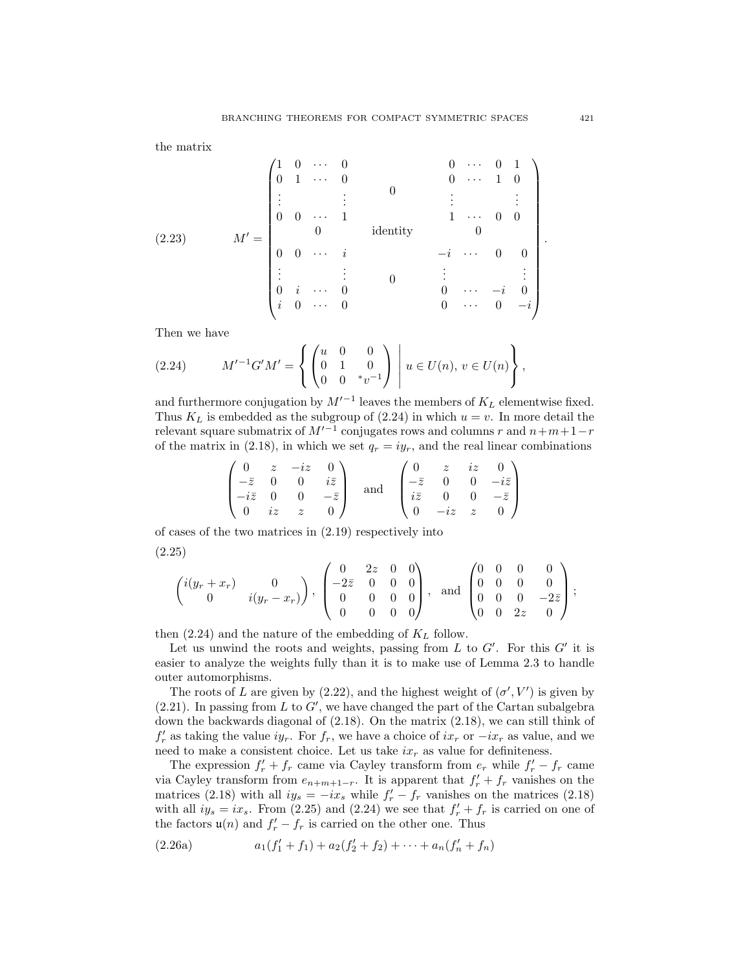the matrix

$$
(2.23) \tM' = \begin{pmatrix} 1 & 0 & \cdots & 0 & & & & 0 & \cdots & 0 & 1 \\ 0 & 1 & \cdots & 0 & & & & 0 & \cdots & 1 & 0 \\ \vdots & & & \vdots & & & & & \vdots & & \vdots & \vdots \\ 0 & 0 & \cdots & 1 & & & & 1 & \cdots & 0 & 0 \\ 0 & 0 & \cdots & i & & & & -i & \cdots & 0 & 0 \\ \vdots & & & \vdots & & & & & \vdots & & \vdots & \vdots \\ 0 & i & \cdots & 0 & & & & 0 & \cdots & -i & 0 \\ i & 0 & \cdots & 0 & & & & 0 & \cdots & 0 & -i \end{pmatrix}.
$$

Then we have

$$
(2.24) \tM'^{-1}G'M' = \left\{ \begin{pmatrix} u & 0 & 0 \\ 0 & 1 & 0 \\ 0 & 0 & *v^{-1} \end{pmatrix} \middle| u \in U(n), v \in U(n) \right\},\,
$$

and furthermore conjugation by  $M'^{-1}$  leaves the members of  $K_L$  elementwise fixed. Thus  $K_L$  is embedded as the subgroup of (2.24) in which  $u = v$ . In more detail the relevant square submatrix of  $M'^{-1}$  conjugates rows and columns r and  $n+m+1-r$ of the matrix in (2.18), in which we set  $q_r = iy_r$ , and the real linear combinations

$$
\begin{pmatrix}\n0 & z & -iz & 0 \\
-\bar{z} & 0 & 0 & i\bar{z} \\
-i\bar{z} & 0 & 0 & -\bar{z} \\
0 & iz & z & 0\n\end{pmatrix}\n\text{ and }\n\begin{pmatrix}\n0 & z & iz & 0 \\
-\bar{z} & 0 & 0 & -i\bar{z} \\
i\bar{z} & 0 & 0 & -\bar{z} \\
0 & -iz & z & 0\n\end{pmatrix}
$$

of cases of the two matrices in (2.19) respectively into (2.25)

$$
\begin{pmatrix} i(y_r+x_r) & 0 \ 0 & i(y_r-x_r) \end{pmatrix}, \begin{pmatrix} 0 & 2z & 0 & 0 \ -2\overline{z} & 0 & 0 & 0 \ 0 & 0 & 0 & 0 \ 0 & 0 & 0 & 0 \end{pmatrix}, \text{ and } \begin{pmatrix} 0 & 0 & 0 & 0 \ 0 & 0 & 0 & 0 \ 0 & 0 & 0 & -2\overline{z} \ 0 & 0 & 2z & 0 \end{pmatrix};
$$

then  $(2.24)$  and the nature of the embedding of  $K_L$  follow.

Let us unwind the roots and weights, passing from L to  $G'$ . For this  $G'$  it is easier to analyze the weights fully than it is to make use of Lemma 2.3 to handle outer automorphisms.

The roots of L are given by (2.22), and the highest weight of  $(\sigma', V')$  is given by  $(2.21)$ . In passing from L to G', we have changed the part of the Cartan subalgebra down the backwards diagonal of (2.18). On the matrix (2.18), we can still think of  $f'_r$  as taking the value  $iy_r$ . For  $f_r$ , we have a choice of  $ix_r$  or  $-ix_r$  as value, and we need to make a consistent choice. Let us take  $ix<sub>r</sub>$  as value for definiteness.

The expression  $f'_r + f_r$  came via Cayley transform from  $e_r$  while  $f'_r - f_r$  came via Cayley transform from  $e_{n+m+1-r}$ . It is apparent that  $f'_r + f_r$  vanishes on the matrices (2.18) with all  $iy_s = -ix_s$  while  $f'_r - f_r$  vanishes on the matrices (2.18) with all  $iy_s = ix_s$ . From (2.25) and (2.24) we see that  $f'_r + f_r$  is carried on one of the factors  $\mathfrak{u}(n)$  and  $f'_r - f_r$  is carried on the other one. Thus

$$
(2.26a) \t\t a_1(f'_1 + f_1) + a_2(f'_2 + f_2) + \cdots + a_n(f'_n + f_n)
$$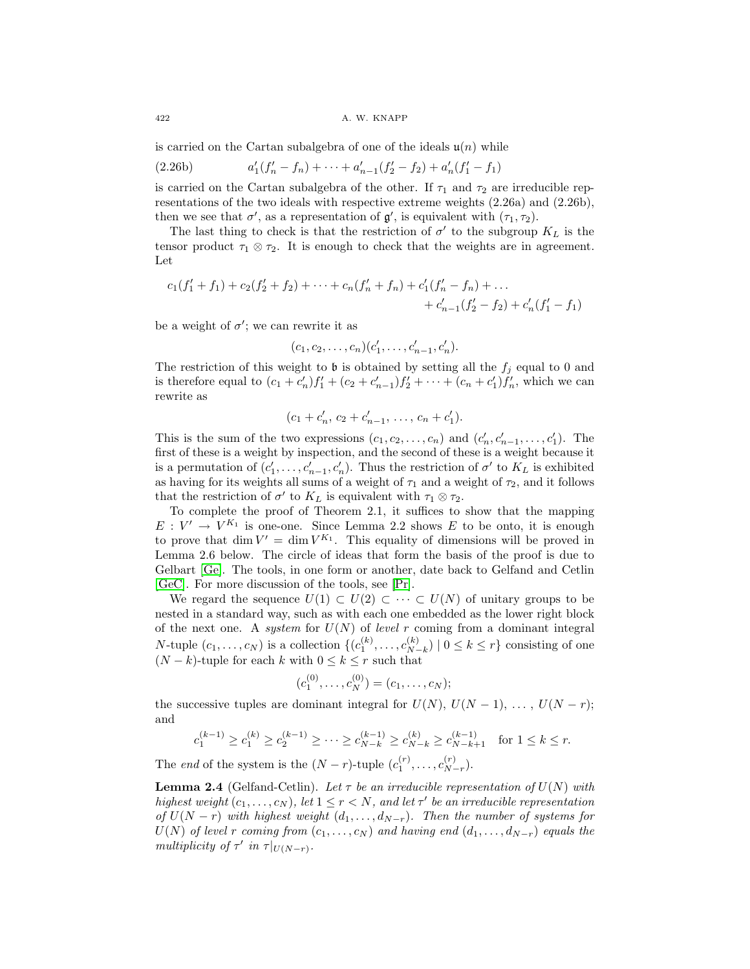is carried on the Cartan subalgebra of one of the ideals  $\mathfrak{u}(n)$  while

(2.26b) 
$$
a'_1(f'_n - f_n) + \cdots + a'_{n-1}(f'_2 - f_2) + a'_n(f'_1 - f_1)
$$

is carried on the Cartan subalgebra of the other. If  $\tau_1$  and  $\tau_2$  are irreducible representations of the two ideals with respective extreme weights (2.26a) and (2.26b), then we see that  $\sigma'$ , as a representation of  $\mathfrak{g}'$ , is equivalent with  $(\tau_1, \tau_2)$ .

The last thing to check is that the restriction of  $\sigma'$  to the subgroup  $K_L$  is the tensor product  $\tau_1 \otimes \tau_2$ . It is enough to check that the weights are in agreement. Let

$$
c_1(f'_1 + f_1) + c_2(f'_2 + f_2) + \cdots + c_n(f'_n + f_n) + c'_1(f'_n - f_n) + \cdots + c'_{n-1}(f'_2 - f_2) + c'_n(f'_1 - f_1)
$$

be a weight of  $\sigma'$ ; we can rewrite it as

$$
(c_1, c_2, \ldots, c_n)(c'_1, \ldots, c'_{n-1}, c'_n).
$$

The restriction of this weight to  $\mathfrak b$  is obtained by setting all the  $f_i$  equal to 0 and is therefore equal to  $(c_1 + c'_n) f'_1 + (c_2 + c'_{n-1}) f'_2 + \cdots + (c_n + c'_1) f'_n$ , which we can rewrite as

$$
(c_1 + c'_n, c_2 + c'_{n-1}, \ldots, c_n + c'_1).
$$

This is the sum of the two expressions  $(c_1, c_2, \ldots, c_n)$  and  $(c'_n, c'_{n-1}, \ldots, c'_1)$ . The first of these is a weight by inspection, and the second of these is a weight because it is a permutation of  $(c'_1, \ldots, c'_{n-1}, c'_n)$ . Thus the restriction of  $\sigma'$  to  $K_L$  is exhibited as having for its weights all sums of a weight of  $\tau_1$  and a weight of  $\tau_2$ , and it follows that the restriction of  $\sigma'$  to  $K_L$  is equivalent with  $\tau_1 \otimes \tau_2$ .

To complete the proof of Theorem 2.1, it suffices to show that the mapping  $E: V' \to V^{K_1}$  is one-one. Since Lemma 2.2 shows E to be onto, it is enough to prove that dim  $V' = \dim V^{K_1}$ . This equality of dimensions will be proved in Lemma 2.6 below. The circle of ideas that form the basis of the proof is due to Gelbart [\[Ge\]](#page-31-22). The tools, in one form or another, date back to Gelfand and Cetlin [\[GeC\]](#page-31-23). For more discussion of the tools, see [\[Pr\]](#page-31-24).

We regard the sequence  $U(1) \subset U(2) \subset \cdots \subset U(N)$  of unitary groups to be nested in a standard way, such as with each one embedded as the lower right block of the next one. A system for  $U(N)$  of level r coming from a dominant integral N-tuple  $(c_1, \ldots, c_N)$  is a collection  $\{(c_1^{(k)}, \ldots, c_{N-k}^{(k)}) \mid 0 \le k \le r\}$  consisting of one  $(N-k)$ -tuple for each k with  $0 \le k \le r$  such that

$$
(c_1^{(0)},\ldots,c_N^{(0)})=(c_1,\ldots,c_N);
$$

the successive tuples are dominant integral for  $U(N)$ ,  $U(N-1)$ , ...,  $U(N-r)$ ; and

$$
c_1^{(k-1)} \ge c_1^{(k)} \ge c_2^{(k-1)} \ge \cdots \ge c_{N-k}^{(k-1)} \ge c_{N-k}^{(k)} \ge c_{N-k+1}^{(k-1)} \quad \text{for } 1 \le k \le r.
$$

The end of the system is the  $(N - r)$ -tuple  $(c_1^{(r)}, \ldots, c_{N-r}^{(r)})$ .

**Lemma 2.4** (Gelfand-Cetlin). Let  $\tau$  be an irreducible representation of  $U(N)$  with highest weight  $(c_1,\ldots,c_N)$ , let  $1 \leq r < N$ , and let  $\tau'$  be an irreducible representation of  $U(N - r)$  with highest weight  $(d_1, \ldots, d_{N-r})$ . Then the number of systems for  $U(N)$  of level r coming from  $(c_1,\ldots,c_N)$  and having end  $(d_1,\ldots,d_{N-r})$  equals the multiplicity of  $\tau'$  in  $\tau|_{U(N-r)}$ .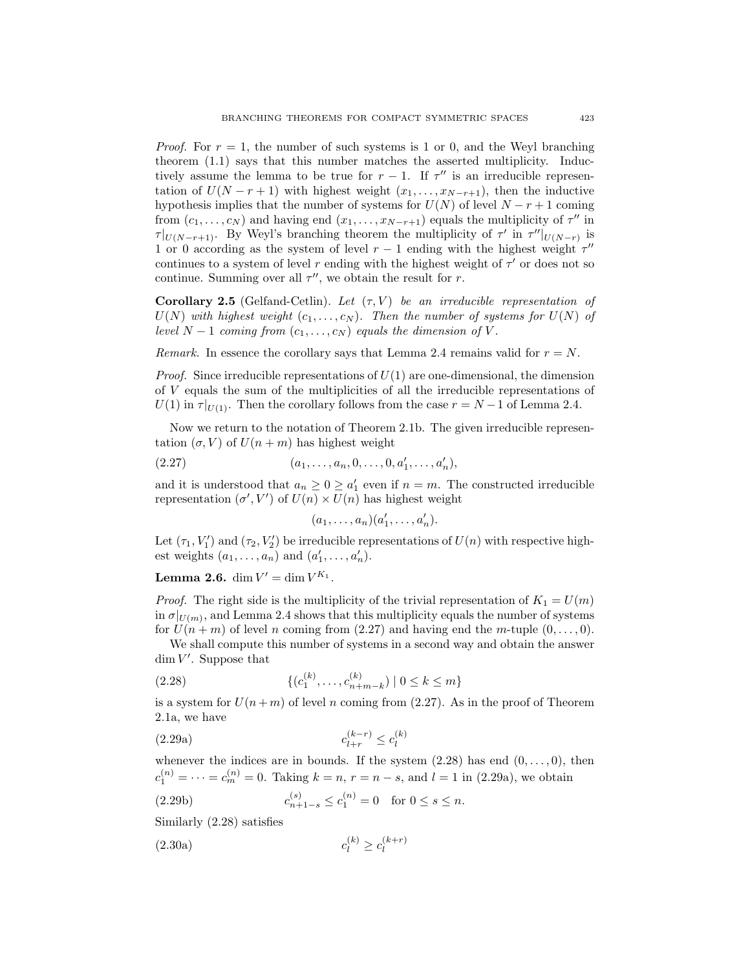*Proof.* For  $r = 1$ , the number of such systems is 1 or 0, and the Weyl branching theorem (1.1) says that this number matches the asserted multiplicity. Inductively assume the lemma to be true for  $r - 1$ . If  $\tau''$  is an irreducible representation of  $U(N - r + 1)$  with highest weight  $(x_1, \ldots, x_{N-r+1})$ , then the inductive hypothesis implies that the number of systems for  $U(N)$  of level  $N - r + 1$  coming from  $(c_1,...,c_N)$  and having end  $(x_1,...,x_{N-r+1})$  equals the multiplicity of  $\tau''$  in  $\tau|_{U(N-r+1)}$ . By Weyl's branching theorem the multiplicity of  $\tau'$  in  $\tau''|_{U(N-r)}$  is 1 or 0 according as the system of level  $r - 1$  ending with the highest weight  $\tau$ <sup>"</sup> continues to a system of level r ending with the highest weight of  $\tau'$  or does not so continue. Summing over all  $\tau''$ , we obtain the result for r.

**Corollary 2.5** (Gelfand-Cetlin). Let  $(\tau, V)$  be an irreducible representation of  $U(N)$  with highest weight  $(c_1,\ldots,c_N)$ . Then the number of systems for  $U(N)$  of level  $N-1$  coming from  $(c_1,\ldots,c_N)$  equals the dimension of V.

Remark. In essence the corollary says that Lemma 2.4 remains valid for  $r = N$ .

*Proof.* Since irreducible representations of  $U(1)$  are one-dimensional, the dimension of V equals the sum of the multiplicities of all the irreducible representations of  $U(1)$  in  $\tau|_{U(1)}$ . Then the corollary follows from the case  $r = N - 1$  of Lemma 2.4.

Now we return to the notation of Theorem 2.1b. The given irreducible representation  $(\sigma, V)$  of  $U(n+m)$  has highest weight

$$
(2.27) \t\t (a_1, \ldots, a_n, 0, \ldots, 0, a'_1, \ldots, a'_n),
$$

and it is understood that  $a_n \geq 0 \geq a'_1$  even if  $n = m$ . The constructed irreducible representation  $(\sigma', V')$  of  $U(n) \times U(n)$  has highest weight

$$
(a_1,\ldots,a_n)(a'_1,\ldots,a'_n).
$$

Let  $(\tau_1, V'_1)$  and  $(\tau_2, V'_2)$  be irreducible representations of  $U(n)$  with respective highest weights  $(a_1, \ldots, a_n)$  and  $(a'_1, \ldots, a'_n)$ .

**Lemma 2.6.** dim  $V' = \dim V^{K_1}$ .

*Proof.* The right side is the multiplicity of the trivial representation of  $K_1 = U(m)$ in  $\sigma|_{U(m)}$ , and Lemma 2.4 shows that this multiplicity equals the number of systems for  $U(n+m)$  of level n coming from (2.27) and having end the m-tuple  $(0,\ldots,0)$ .

We shall compute this number of systems in a second way and obtain the answer  $\dim V'$ . Suppose that

(2.28) 
$$
\{(c_1^{(k)}, \ldots, c_{n+m-k}^{(k)}) \mid 0 \le k \le m\}
$$

is a system for  $U(n+m)$  of level n coming from (2.27). As in the proof of Theorem 2.1a, we have

(2.29a) 
$$
c_{l+r}^{(k-r)} \le c_l^{(k)}
$$

whenever the indices are in bounds. If the system  $(2.28)$  has end  $(0,\ldots,0)$ , then  $c_1^{(n)} = \cdots = c_m^{(n)} = 0$ . Taking  $k = n, r = n - s$ , and  $l = 1$  in (2.29a), we obtain

(2.29b) 
$$
c_{n+1-s}^{(s)} \le c_1^{(n)} = 0 \text{ for } 0 \le s \le n.
$$

Similarly (2.28) satisfies

$$
(2.30a) \t\t\t c_l^{(k)} \ge c_l^{(k+r)}
$$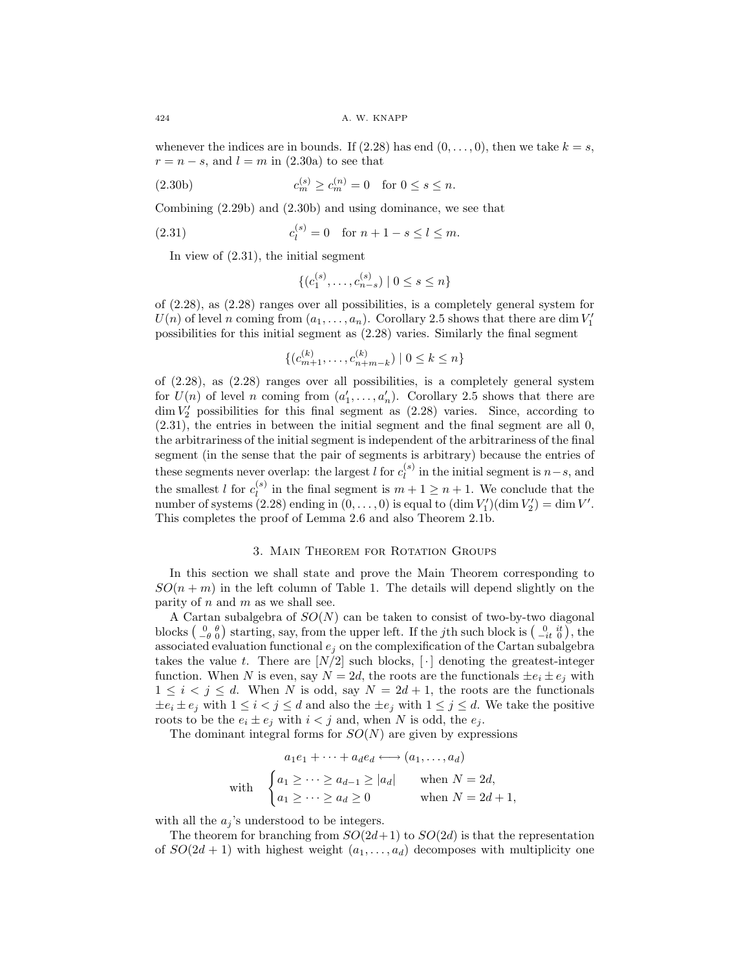whenever the indices are in bounds. If  $(2.28)$  has end  $(0,\ldots,0)$ , then we take  $k = s$ ,  $r = n - s$ , and  $l = m$  in (2.30a) to see that

(2.30b) 
$$
c_m^{(s)} \ge c_m^{(n)} = 0 \text{ for } 0 \le s \le n.
$$

Combining (2.29b) and (2.30b) and using dominance, we see that

(2.31) 
$$
c_l^{(s)} = 0 \text{ for } n + 1 - s \le l \le m.
$$

In view of (2.31), the initial segment

$$
\{(c_1^{(s)}, \ldots, c_{n-s}^{(s)}) \mid 0 \le s \le n\}
$$

of (2.28), as (2.28) ranges over all possibilities, is a completely general system for  $U(n)$  of level n coming from  $(a_1, \ldots, a_n)$ . Corollary 2.5 shows that there are dim  $V_1'$ possibilities for this initial segment as (2.28) varies. Similarly the final segment

$$
\{(c_{m+1}^{(k)}, \ldots, c_{n+m-k}^{(k)}) \mid 0 \le k \le n\}
$$

of (2.28), as (2.28) ranges over all possibilities, is a completely general system for  $U(n)$  of level n coming from  $(a'_1, \ldots, a'_n)$ . Corollary 2.5 shows that there are  $\dim V_2'$  possibilities for this final segment as  $(2.28)$  varies. Since, according to (2.31), the entries in between the initial segment and the final segment are all 0, the arbitrariness of the initial segment is independent of the arbitrariness of the final segment (in the sense that the pair of segments is arbitrary) because the entries of these segments never overlap: the largest l for  $c_l^{(s)}$  in the initial segment is  $n-s$ , and the smallest l for  $c_l^{(s)}$  in the final segment is  $m + 1 \geq n + 1$ . We conclude that the number of systems (2.28) ending in  $(0, \ldots, 0)$  is equal to  $(\dim V'_1)(\dim V'_2) = \dim V'.$ This completes the proof of Lemma 2.6 and also Theorem 2.1b.

### 3. Main Theorem for Rotation Groups

In this section we shall state and prove the Main Theorem corresponding to  $SO(n+m)$  in the left column of Table 1. The details will depend slightly on the parity of  $n$  and  $m$  as we shall see.

A Cartan subalgebra of  $SO(N)$  can be taken to consist of two-by-two diagonal blocks  $\begin{pmatrix} 0 & \theta \\ -\theta & 0 \end{pmatrix}$  starting, say, from the upper left. If the *j*th such block is  $\begin{pmatrix} 0 & it \\ -it & 0 \end{pmatrix}$ , the associated evaluation functional  $e_i$  on the complexification of the Cartan subalgebra takes the value t. There are  $[N/2]$  such blocks,  $\lceil \cdot \rceil$  denoting the greatest-integer function. When N is even, say  $N = 2d$ , the roots are the functionals  $\pm e_i \pm e_j$  with  $1 \leq i < j \leq d$ . When N is odd, say  $N = 2d + 1$ , the roots are the functionals  $\pm e_i \pm e_j$  with  $1 \leq i < j \leq d$  and also the  $\pm e_j$  with  $1 \leq j \leq d$ . We take the positive roots to be the  $e_i \pm e_j$  with  $i < j$  and, when N is odd, the  $e_j$ .

The dominant integral forms for  $SO(N)$  are given by expressions

$$
a_1e_1 + \dots + a_de_d \longleftrightarrow (a_1, \dots, a_d)
$$
  
with 
$$
\begin{cases} a_1 \geq \dots \geq a_{d-1} \geq |a_d| & \text{when } N = 2d, \\ a_1 \geq \dots \geq a_d \geq 0 & \text{when } N = 2d + 1, \end{cases}
$$

with all the  $a_j$ 's understood to be integers.

The theorem for branching from  $SO(2d+1)$  to  $SO(2d)$  is that the representation of  $SO(2d+1)$  with highest weight  $(a_1,\ldots,a_d)$  decomposes with multiplicity one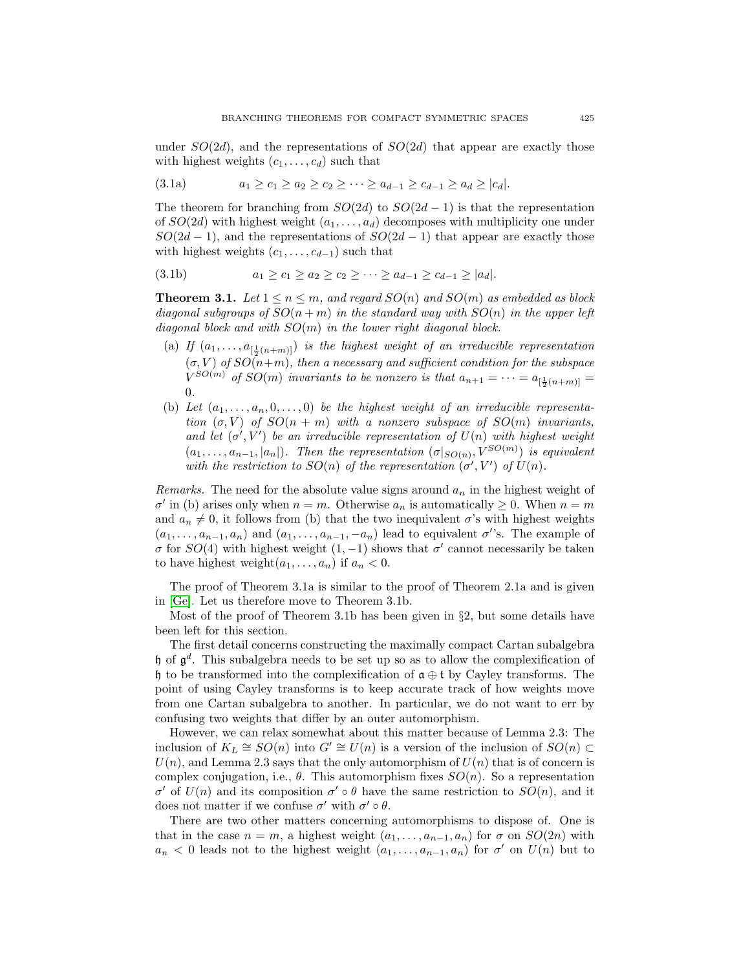under  $SO(2d)$ , and the representations of  $SO(2d)$  that appear are exactly those with highest weights  $(c_1, \ldots, c_d)$  such that

$$
(3.1a) \t a_1 \ge c_1 \ge a_2 \ge c_2 \ge \cdots \ge a_{d-1} \ge c_{d-1} \ge a_d \ge |c_d|.
$$

The theorem for branching from  $SO(2d)$  to  $SO(2d-1)$  is that the representation of  $SO(2d)$  with highest weight  $(a_1,\ldots,a_d)$  decomposes with multiplicity one under  $SO(2d-1)$ , and the representations of  $SO(2d-1)$  that appear are exactly those with highest weights  $(c_1, \ldots, c_{d-1})$  such that

$$
(3.1b) \t a_1 \ge c_1 \ge a_2 \ge c_2 \ge \cdots \ge a_{d-1} \ge c_{d-1} \ge |a_d|.
$$

**Theorem 3.1.** Let  $1 \leq n \leq m$ , and regard  $SO(n)$  and  $SO(m)$  as embedded as block diagonal subgroups of  $SO(n+m)$  in the standard way with  $SO(n)$  in the upper left diagonal block and with  $SO(m)$  in the lower right diagonal block.

- (a) If  $(a_1, \ldots, a_{[\frac{1}{2}(n+m)]})$  is the highest weight of an irreducible representation  $(\sigma, V)$  of  $SO(n+m)$ , then a necessary and sufficient condition for the subspace  $V^{SO(m)}$  of  $SO(m)$  invariants to be nonzero is that  $a_{n+1} = \cdots = a_{[\frac{1}{2}(n+m)]} =$ 0.
- (b) Let  $(a_1, \ldots, a_n, 0, \ldots, 0)$  be the highest weight of an irreducible representation  $(\sigma, V)$  of  $SO(n + m)$  with a nonzero subspace of  $SO(m)$  invariants, and let  $(\sigma', V')$  be an irreducible representation of  $U(n)$  with highest weight  $(a_1, \ldots, a_{n-1}, |a_n|)$ . Then the representation  $(\sigma|_{SO(n)}, V^{SO(m)})$  is equivalent with the restriction to  $SO(n)$  of the representation  $(\sigma', V')$  of  $U(n)$ .

Remarks. The need for the absolute value signs around  $a_n$  in the highest weight of  $\sigma'$  in (b) arises only when  $n = m$ . Otherwise  $a_n$  is automatically  $\geq 0$ . When  $n = m$ and  $a_n \neq 0$ , it follows from (b) that the two inequivalent  $\sigma$ 's with highest weights  $(a_1, \ldots, a_{n-1}, a_n)$  and  $(a_1, \ldots, a_{n-1}, -a_n)$  lead to equivalent  $\sigma'$ 's. The example of σ for  $SO(4)$  with highest weight  $(1, -1)$  shows that σ' cannot necessarily be taken to have highest weight $(a_1, \ldots, a_n)$  if  $a_n < 0$ .

The proof of Theorem 3.1a is similar to the proof of Theorem 2.1a and is given in [\[Ge\]](#page-31-22). Let us therefore move to Theorem 3.1b.

Most of the proof of Theorem 3.1b has been given in  $\S$ 2, but some details have been left for this section.

The first detail concerns constructing the maximally compact Cartan subalgebra h of  $\mathfrak{g}^d$ . This subalgebra needs to be set up so as to allow the complexification of h to be transformed into the complexification of  $\mathfrak{a} \oplus \mathfrak{t}$  by Cayley transforms. The point of using Cayley transforms is to keep accurate track of how weights move from one Cartan subalgebra to another. In particular, we do not want to err by confusing two weights that differ by an outer automorphism.

However, we can relax somewhat about this matter because of Lemma 2.3: The inclusion of  $K_L \cong SO(n)$  into  $G' \cong U(n)$  is a version of the inclusion of  $SO(n) \subset$  $U(n)$ , and Lemma 2.3 says that the only automorphism of  $U(n)$  that is of concern is complex conjugation, i.e.,  $\theta$ . This automorphism fixes  $SO(n)$ . So a representation σ' of  $U(n)$  and its composition σ'  $\circ$  θ have the same restriction to  $SO(n)$ , and it does not matter if we confuse  $\sigma'$  with  $\sigma' \circ \theta$ .

There are two other matters concerning automorphisms to dispose of. One is that in the case  $n = m$ , a highest weight  $(a_1, \ldots, a_{n-1}, a_n)$  for  $\sigma$  on  $SO(2n)$  with  $a_n < 0$  leads not to the highest weight  $(a_1, \ldots, a_{n-1}, a_n)$  for  $\sigma'$  on  $U(n)$  but to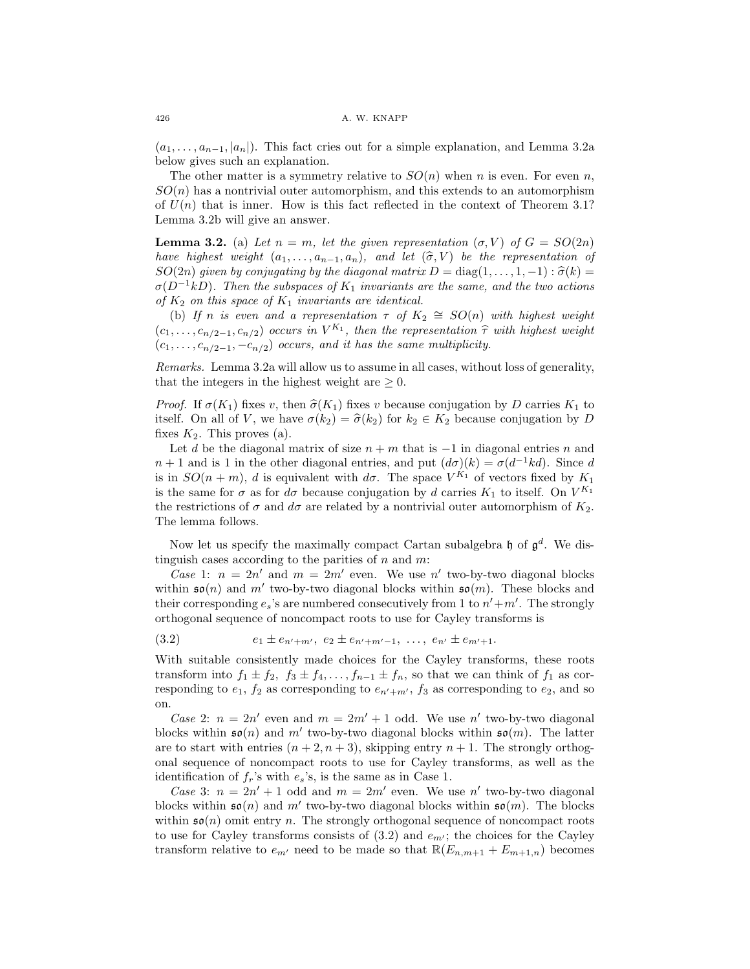$(a_1, \ldots, a_{n-1}, |a_n|)$ . This fact cries out for a simple explanation, and Lemma 3.2a below gives such an explanation.

The other matter is a symmetry relative to  $SO(n)$  when n is even. For even n,  $SO(n)$  has a nontrivial outer automorphism, and this extends to an automorphism of  $U(n)$  that is inner. How is this fact reflected in the context of Theorem 3.1? Lemma 3.2b will give an answer.

**Lemma 3.2.** (a) Let  $n = m$ , let the given representation  $(\sigma, V)$  of  $G = SO(2n)$ have highest weight  $(a_1,\ldots,a_{n-1},a_n)$ , and let  $(\widehat{\sigma},V)$  be the representation of  $SO(2n)$  given by conjugating by the diagonal matrix  $D = \text{diag}(1,\ldots,1,-1)$ :  $\widehat{\sigma}(k) =$  $\sigma(D^{-1}kD)$ . Then the subspaces of K<sub>1</sub> invariants are the same, and the two actions of  $K_2$  on this space of  $K_1$  invariants are identical.

(b) If n is even and a representation  $\tau$  of  $K_2 \cong SO(n)$  with highest weight  $(c_1,\ldots,c_{n/2-1},c_{n/2})$  occurs in  $V^{K_1}$ , then the representation  $\hat{\tau}$  with highest weight  $(c_1,\ldots,c_{n/2-1},-c_{n/2})$  occurs, and it has the same multiplicity.

Remarks. Lemma 3.2a will allow us to assume in all cases, without loss of generality, that the integers in the highest weight are  $\geq 0$ .

*Proof.* If  $\sigma(K_1)$  fixes v, then  $\hat{\sigma}(K_1)$  fixes v because conjugation by D carries  $K_1$  to itself. On all of V, we have  $\sigma(k_2) = \hat{\sigma}(k_2)$  for  $k_2 \in K_2$  because conjugation by D fixes  $K_2$ . This proves (a).

Let d be the diagonal matrix of size  $n + m$  that is  $-1$  in diagonal entries n and  $n+1$  and is 1 in the other diagonal entries, and put  $(d\sigma)(k) = \sigma(d^{-1}kd)$ . Since d is in  $SO(n+m)$ , d is equivalent with  $d\sigma$ . The space  $V^{K_1}$  of vectors fixed by  $K_1$ is the same for  $\sigma$  as for  $d\sigma$  because conjugation by d carries  $K_1$  to itself. On  $V^{K_1}$ the restrictions of  $\sigma$  and  $d\sigma$  are related by a nontrivial outer automorphism of  $K_2$ . The lemma follows.

Now let us specify the maximally compact Cartan subalgebra  $\mathfrak h$  of  $\mathfrak g^d$ . We distinguish cases according to the parities of  $n$  and  $m$ :

Case 1:  $n = 2n'$  and  $m = 2m'$  even. We use n' two-by-two diagonal blocks within  $\mathfrak{so}(n)$  and m' two-by-two diagonal blocks within  $\mathfrak{so}(m)$ . These blocks and their corresponding  $e_s$ 's are numbered consecutively from 1 to  $n' + m'$ . The strongly orthogonal sequence of noncompact roots to use for Cayley transforms is

(3.2)  $e_1 \pm e_{n'+m'}$ ,  $e_2 \pm e_{n'+m'-1}$ , ...,  $e_{n'} \pm e_{m'+1}$ .

With suitable consistently made choices for the Cayley transforms, these roots transform into  $f_1 \pm f_2$ ,  $f_3 \pm f_4$ , ..., $f_{n-1} \pm f_n$ , so that we can think of  $f_1$  as corresponding to  $e_1$ ,  $f_2$  as corresponding to  $e_{n'+m'}$ ,  $f_3$  as corresponding to  $e_2$ , and so on.

Case 2:  $n = 2n'$  even and  $m = 2m' + 1$  odd. We use n' two-by-two diagonal blocks within  $\mathfrak{so}(n)$  and m' two-by-two diagonal blocks within  $\mathfrak{so}(m)$ . The latter are to start with entries  $(n + 2, n + 3)$ , skipping entry  $n + 1$ . The strongly orthogonal sequence of noncompact roots to use for Cayley transforms, as well as the identification of  $f_r$ 's with  $e_s$ 's, is the same as in Case 1.

Case 3:  $n = 2n' + 1$  odd and  $m = 2m'$  even. We use n' two-by-two diagonal blocks within  $\mathfrak{so}(n)$  and m' two-by-two diagonal blocks within  $\mathfrak{so}(m)$ . The blocks within  $\mathfrak{so}(n)$  omit entry n. The strongly orthogonal sequence of noncompact roots to use for Cayley transforms consists of  $(3.2)$  and  $e_{m'}$ ; the choices for the Cayley transform relative to  $e_{m'}$  need to be made so that  $\mathbb{R}(E_{n,m+1} + E_{m+1,n})$  becomes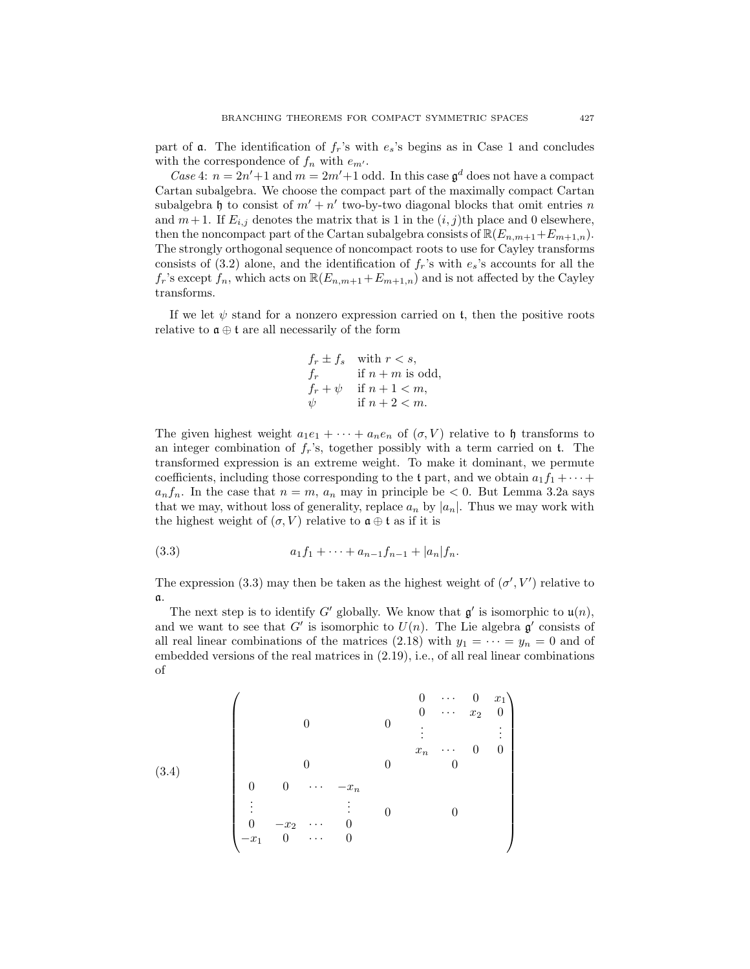part of  $\alpha$ . The identification of  $f_r$ 's with  $e_s$ 's begins as in Case 1 and concludes with the correspondence of  $f_n$  with  $e_{m'}$ .

Case 4:  $n = 2n' + 1$  and  $m = 2m' + 1$  odd. In this case  $\mathfrak{g}^d$  does not have a compact Cartan subalgebra. We choose the compact part of the maximally compact Cartan subalgebra h to consist of  $m' + n'$  two-by-two diagonal blocks that omit entries n and  $m+1$ . If  $E_{i,j}$  denotes the matrix that is 1 in the  $(i, j)$ th place and 0 elsewhere, then the noncompact part of the Cartan subalgebra consists of  $\mathbb{R}(E_{n,m+1}+E_{m+1,n})$ . The strongly orthogonal sequence of noncompact roots to use for Cayley transforms consists of (3.2) alone, and the identification of  $f<sub>r</sub>$ 's with  $e<sub>s</sub>$ 's accounts for all the  $f_r$ 's except  $f_n$ , which acts on  $\mathbb{R}(E_{n,m+1}+E_{m+1,n})$  and is not affected by the Cayley transforms.

If we let  $\psi$  stand for a nonzero expression carried on t, then the positive roots relative to  $\mathfrak{a} \oplus \mathfrak{t}$  are all necessarily of the form

$$
f_r \pm f_s \quad \text{with } r < s,
$$
\n
$$
f_r \quad \text{if } n+m \text{ is odd,}
$$
\n
$$
f_r + \psi \quad \text{if } n+1 < m,
$$
\n
$$
\psi \quad \text{if } n+2 < m.
$$

The given highest weight  $a_1e_1 + \cdots + a_ne_n$  of  $(\sigma, V)$  relative to h transforms to an integer combination of  $f_r$ 's, together possibly with a term carried on t. The transformed expression is an extreme weight. To make it dominant, we permute coefficients, including those corresponding to the t part, and we obtain  $a_1f_1 + \cdots$  $a_n f_n$ . In the case that  $n = m$ ,  $a_n$  may in principle be  $\lt 0$ . But Lemma 3.2a says that we may, without loss of generality, replace  $a_n$  by  $|a_n|$ . Thus we may work with the highest weight of  $(\sigma, V)$  relative to  $\mathfrak{a} \oplus \mathfrak{t}$  as if it is

(3.3) 
$$
a_1 f_1 + \cdots + a_{n-1} f_{n-1} + |a_n| f_n.
$$

The expression (3.3) may then be taken as the highest weight of  $(\sigma', V')$  relative to a.

The next step is to identify G' globally. We know that  $\mathfrak{g}'$  is isomorphic to  $\mathfrak{u}(n)$ , and we want to see that G' is isomorphic to  $U(n)$ . The Lie algebra  $\mathfrak{g}'$  consists of all real linear combinations of the matrices (2.18) with  $y_1 = \cdots = y_n = 0$  and of embedded versions of the real matrices in (2.19), i.e., of all real linear combinations of

$$
(3.4) \quad\n\begin{pmatrix}\n & 0 & \cdots & 0 & x_1 \\
 & 0 & & 0 & \cdots & x_2 & 0 \\
 & 0 & & 0 & & \vdots & & \vdots \\
 & 0 & 0 & \cdots & -x_n & & & \\
 & 0 & 0 & \cdots & -x_n & & & \\
 & \vdots & \vdots & 0 & & 0 & & \\
 & 0 & -x_2 & \cdots & 0 & & & \\
 & -x_1 & 0 & \cdots & 0 & & & \\
\end{pmatrix}
$$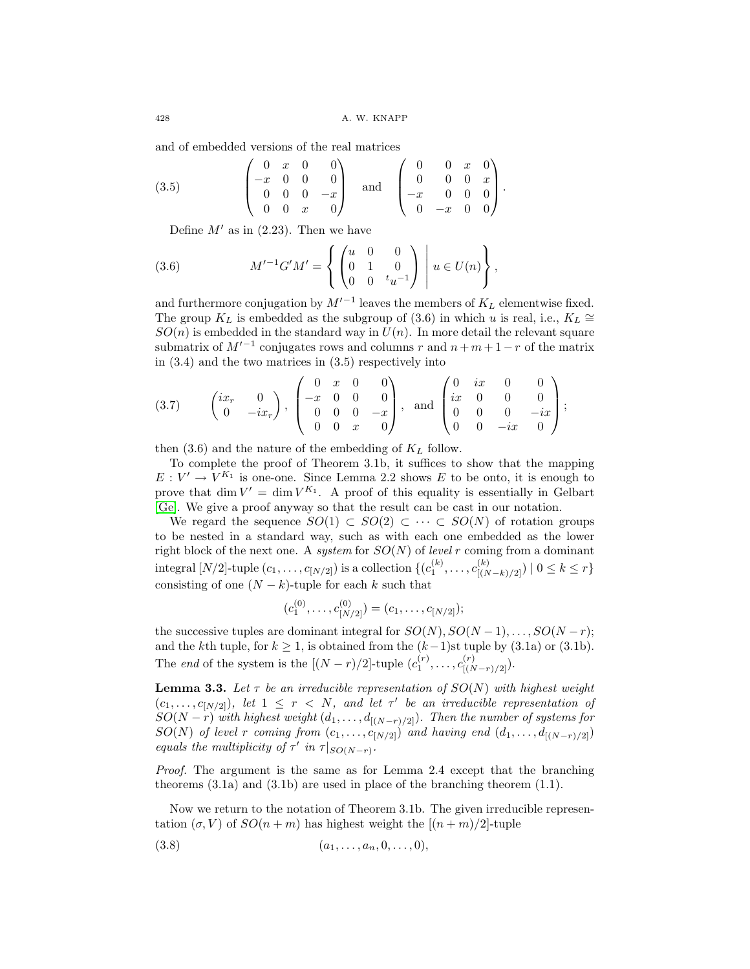and of embedded versions of the real matrices

$$
(3.5) \qquad \begin{pmatrix} 0 & x & 0 & 0 \\ -x & 0 & 0 & 0 \\ 0 & 0 & 0 & -x \\ 0 & 0 & x & 0 \end{pmatrix} \quad \text{and} \quad \begin{pmatrix} 0 & 0 & x & 0 \\ 0 & 0 & 0 & x \\ -x & 0 & 0 & 0 \\ 0 & -x & 0 & 0 \end{pmatrix}.
$$

Define  $M'$  as in (2.23). Then we have

(3.6) 
$$
M'^{-1}G'M' = \left\{ \begin{pmatrix} u & 0 & 0 \\ 0 & 1 & 0 \\ 0 & 0 & t_u^{-1} \end{pmatrix} \middle| u \in U(n) \right\},
$$

and furthermore conjugation by  $M'^{-1}$  leaves the members of  $K_L$  elementwise fixed. The group  $K_L$  is embedded as the subgroup of (3.6) in which u is real, i.e.,  $K_L \cong$  $SO(n)$  is embedded in the standard way in  $U(n)$ . In more detail the relevant square submatrix of  $M^{-1}$  conjugates rows and columns r and  $n + m + 1 - r$  of the matrix in (3.4) and the two matrices in (3.5) respectively into

$$
(3.7) \qquad \begin{pmatrix} ix_r & 0 \\ 0 & -ix_r \end{pmatrix}, \begin{pmatrix} 0 & x & 0 & 0 \\ -x & 0 & 0 & 0 \\ 0 & 0 & 0 & -x \\ 0 & 0 & x & 0 \end{pmatrix}, \text{ and } \begin{pmatrix} 0 & ix & 0 & 0 \\ ix & 0 & 0 & 0 \\ 0 & 0 & 0 & -ix \\ 0 & 0 & -ix & 0 \end{pmatrix};
$$

then  $(3.6)$  and the nature of the embedding of  $K_L$  follow.

To complete the proof of Theorem 3.1b, it suffices to show that the mapping  $E: V' \to V^{K_1}$  is one-one. Since Lemma 2.2 shows E to be onto, it is enough to prove that dim  $V' = \dim V^{K_1}$ . A proof of this equality is essentially in Gelbart [\[Ge\]](#page-31-22). We give a proof anyway so that the result can be cast in our notation.

We regard the sequence  $SO(1) \subset SO(2) \subset \cdots \subset SO(N)$  of rotation groups to be nested in a standard way, such as with each one embedded as the lower right block of the next one. A system for  $SO(N)$  of level r coming from a dominant integral  $[N/2]$ -tuple  $(c_1, ..., c_{[N/2]})$  is a collection  $\{(c_1^{(k)}, ..., c_{[(N-k)/2]}^{(k)}) \mid 0 \le k \le r\}$ consisting of one  $(N - k)$ -tuple for each k such that

$$
(c_1^{(0)},\ldots,c_{[N/2]}^{(0)})=(c_1,\ldots,c_{[N/2]});
$$

the successive tuples are dominant integral for  $SO(N)$ ,  $SO(N-1)$ ,...,  $SO(N-r)$ ; and the kth tuple, for  $k \ge 1$ , is obtained from the  $(k-1)$ st tuple by  $(3.1a)$  or  $(3.1b)$ . The *end* of the system is the  $[(N - r)/2]$ -tuple  $(c_1^{(r)}, \ldots, c_{[(N-r)/2]}^{(r)})$ .

**Lemma 3.3.** Let  $\tau$  be an irreducible representation of  $SO(N)$  with highest weight  $(c_1,...,c_{N/2}),$  let  $1 \leq r < N$ , and let  $\tau'$  be an irreducible representation of  $SO(N-r)$  with highest weight  $(d_1,\ldots,d_{[(N-r)/2]})$ . Then the number of systems for  $SO(N)$  of level r coming from  $(c_1,\ldots,c_{[N/2]})$  and having end  $(d_1,\ldots,d_{[(N-r)/2]})$ equals the multiplicity of  $\tau'$  in  $\tau|_{SO(N-r)}$ .

Proof. The argument is the same as for Lemma 2.4 except that the branching theorems  $(3.1a)$  and  $(3.1b)$  are used in place of the branching theorem  $(1.1)$ .

Now we return to the notation of Theorem 3.1b. The given irreducible representation  $(\sigma, V)$  of  $SO(n+m)$  has highest weight the  $[(n+m)/2]$ -tuple

$$
(3.8) \t\t (a_1, \ldots, a_n, 0, \ldots, 0),
$$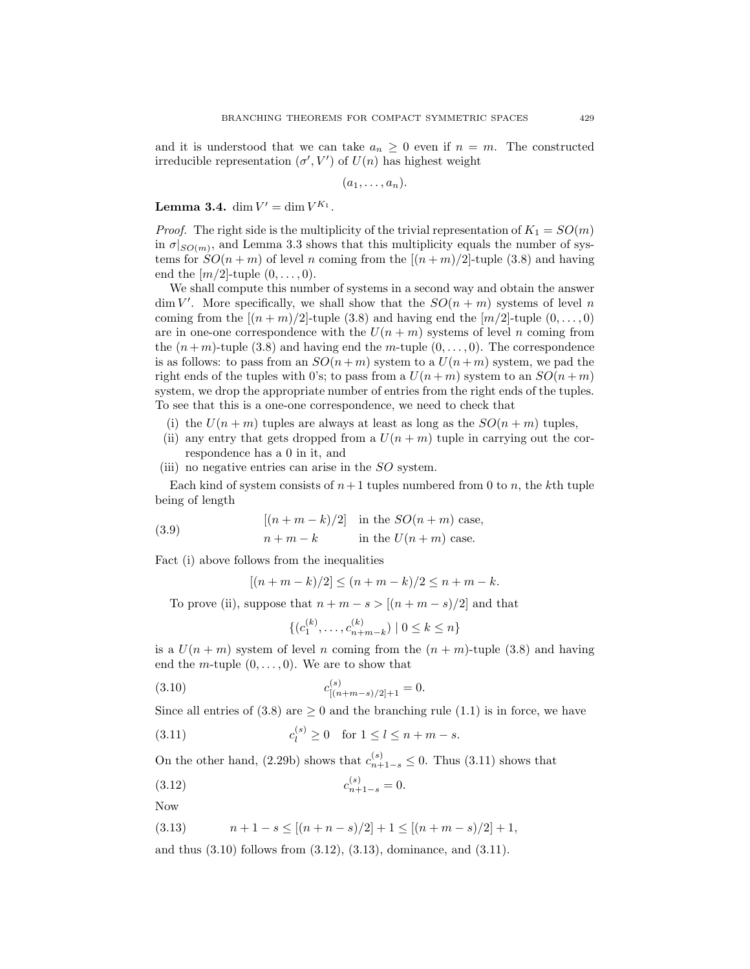and it is understood that we can take  $a_n \geq 0$  even if  $n = m$ . The constructed irreducible representation  $(\sigma', V')$  of  $U(n)$  has highest weight

 $(a_1,\ldots,a_n).$ 

**Lemma 3.4.** dim  $V' = \dim V^{K_1}$ .

*Proof.* The right side is the multiplicity of the trivial representation of  $K_1 = SO(m)$ in  $\sigma|_{SO(m)}$ , and Lemma 3.3 shows that this multiplicity equals the number of systems for  $SO(n+m)$  of level n coming from the  $[(n+m)/2]$ -tuple (3.8) and having end the  $[m/2]$ -tuple  $(0,\ldots,0)$ .

We shall compute this number of systems in a second way and obtain the answer  $\dim V'$ . More specifically, we shall show that the  $SO(n+m)$  systems of level n coming from the  $[(n+m)/2]$ -tuple (3.8) and having end the  $[m/2]$ -tuple  $(0,\ldots,0)$ are in one-one correspondence with the  $U(n + m)$  systems of level n coming from the  $(n+m)$ -tuple (3.8) and having end the m-tuple  $(0,\ldots,0)$ . The correspondence is as follows: to pass from an  $SO(n+m)$  system to a  $U(n+m)$  system, we pad the right ends of the tuples with 0's; to pass from a  $U(n+m)$  system to an  $SO(n+m)$ system, we drop the appropriate number of entries from the right ends of the tuples. To see that this is a one-one correspondence, we need to check that

- (i) the  $U(n+m)$  tuples are always at least as long as the  $SO(n+m)$  tuples,
- (ii) any entry that gets dropped from a  $U(n+m)$  tuple in carrying out the correspondence has a 0 in it, and
- (iii) no negative entries can arise in the  $SO$  system.

Each kind of system consists of  $n+1$  tuples numbered from 0 to n, the kth tuple being of length

(3.9) 
$$
[(n+m-k)/2] \text{ in the } SO(n+m) \text{ case,}
$$

$$
n+m-k \text{ in the } U(n+m) \text{ case.}
$$

Fact (i) above follows from the inequalities

$$
[(n+m-k)/2] \le (n+m-k)/2 \le n+m-k.
$$

To prove (ii), suppose that  $n + m - s > [(n + m - s)/2]$  and that

(k)

$$
\{(c_1^{(k)}, \dots, c_{n+m-k}^{(k)}) \mid 0 \le k \le n\}
$$

is a  $U(n + m)$  system of level n coming from the  $(n + m)$ -tuple (3.8) and having end the *m*-tuple  $(0, \ldots, 0)$ . We are to show that

(3.10) 
$$
c_{[(n+m-s)/2]+1}^{(s)} = 0.
$$

Since all entries of (3.8) are  $\geq 0$  and the branching rule (1.1) is in force, we have

(3.11) 
$$
c_l^{(s)} \ge 0 \text{ for } 1 \le l \le n + m - s.
$$

On the other hand, (2.29b) shows that  $c_{n+1-s}^{(s)} \leq 0$ . Thus (3.11) shows that

(3.12) 
$$
c_{n+1-s}^{(s)} = 0.
$$

Now

$$
(3.13) \t n+1-s \le [(n+n-s)/2]+1 \le [(n+m-s)/2]+1,
$$

and thus (3.10) follows from (3.12), (3.13), dominance, and (3.11).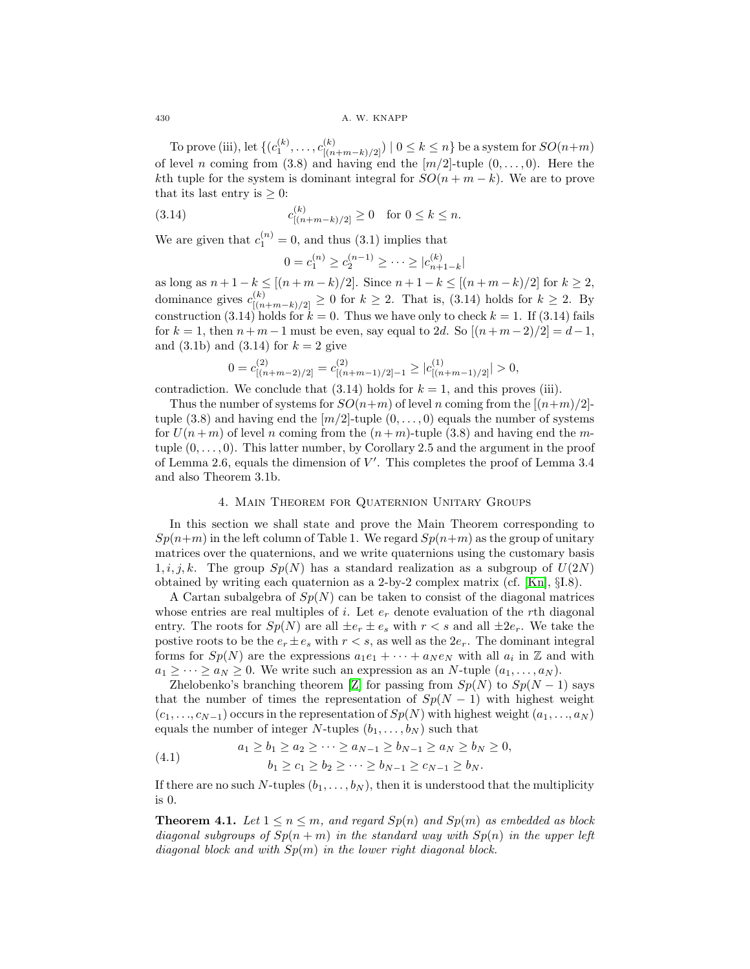To prove (iii), let  $\{(c_1^{(k)}, \ldots, c_{[(n+m-k)/2]}^{(k)}) \mid 0 \le k \le n\}$  be a system for  $SO(n+m)$ of level n coming from (3.8) and having end the  $[m/2]$ -tuple  $(0,\ldots,0)$ . Here the kth tuple for the system is dominant integral for  $SO(n + m - k)$ . We are to prove that its last entry is  $> 0$ :

(3.14) 
$$
c_{[(n+m-k)/2]}^{(k)} \ge 0 \text{ for } 0 \le k \le n.
$$

We are given that  $c_1^{(n)} = 0$ , and thus (3.1) implies that

$$
0 = c_1^{(n)} \ge c_2^{(n-1)} \ge \cdots \ge |c_{n+1-k}^{(k)}|
$$

as long as  $n + 1 - k \leq [(n + m - k)/2]$ . Since  $n + 1 - k \leq [(n + m - k)/2]$  for  $k \geq 2$ , dominance gives  $c_{[(n+m-k)/2]}^{(k)} \geq 0$  for  $k \geq 2$ . That is, (3.14) holds for  $k \geq 2$ . By construction (3.14) holds for  $k = 0$ . Thus we have only to check  $k = 1$ . If (3.14) fails for  $k = 1$ , then  $n + m - 1$  must be even, say equal to 2d. So  $[(n + m - 2)/2] = d - 1$ , and  $(3.1b)$  and  $(3.14)$  for  $k = 2$  give

$$
0 = c_{[(n+m-2)/2]}^{(2)} = c_{[(n+m-1)/2]-1}^{(2)} \ge |c_{[(n+m-1)/2]}^{(1)}| > 0,
$$

contradiction. We conclude that  $(3.14)$  holds for  $k = 1$ , and this proves (iii).

Thus the number of systems for  $SO(n+m)$  of level n coming from the  $[(n+m)/2]$ tuple  $(3.8)$  and having end the  $[m/2]$ -tuple  $(0,\ldots,0)$  equals the number of systems for  $U(n+m)$  of level n coming from the  $(n+m)$ -tuple (3.8) and having end the mtuple  $(0,\ldots,0)$ . This latter number, by Corollary 2.5 and the argument in the proof of Lemma 2.6, equals the dimension of  $V'$ . This completes the proof of Lemma 3.4 and also Theorem 3.1b.

# 4. Main Theorem for Quaternion Unitary Groups

In this section we shall state and prove the Main Theorem corresponding to  $Sp(n+m)$  in the left column of Table 1. We regard  $Sp(n+m)$  as the group of unitary matrices over the quaternions, and we write quaternions using the customary basis  $1, i, j, k$ . The group  $Sp(N)$  has a standard realization as a subgroup of  $U(2N)$ obtained by writing each quaternion as a 2-by-2 complex matrix (cf. [\[Kn\]](#page-31-6), §I.8).

A Cartan subalgebra of  $Sp(N)$  can be taken to consist of the diagonal matrices whose entries are real multiples of i. Let  $e_r$  denote evaluation of the rth diagonal entry. The roots for  $Sp(N)$  are all  $\pm e_r \pm e_s$  with  $r < s$  and all  $\pm 2e_r$ . We take the postive roots to be the  $e_r \pm e_s$  with  $r < s$ , as well as the  $2e_r$ . The dominant integral forms for  $Sp(N)$  are the expressions  $a_1e_1 + \cdots + a_Ne_N$  with all  $a_i$  in  $\mathbb Z$  and with  $a_1 \geq \cdots \geq a_N \geq 0$ . We write such an expression as an N-tuple  $(a_1, \ldots, a_N)$ .

Zhelobenko's branching theorem [\[Z\]](#page-32-1) for passing from  $Sp(N)$  to  $Sp(N-1)$  says that the number of times the representation of  $Sp(N-1)$  with highest weight  $(c_1, \ldots, c_{N-1})$  occurs in the representation of  $Sp(N)$  with highest weight  $(a_1, \ldots, a_N)$ equals the number of integer N-tuples  $(b_1,\ldots,b_N)$  such that

(4.1) 
$$
a_1 \ge b_1 \ge a_2 \ge \cdots \ge a_{N-1} \ge b_{N-1} \ge a_N \ge b_N \ge 0, b_1 \ge c_1 \ge b_2 \ge \cdots \ge b_{N-1} \ge c_{N-1} \ge b_N.
$$

If there are no such N-tuples  $(b_1,\ldots,b_N)$ , then it is understood that the multiplicity is 0.

**Theorem 4.1.** Let  $1 \le n \le m$ , and regard  $Sp(n)$  and  $Sp(m)$  as embedded as block diagonal subgroups of  $Sp(n+m)$  in the standard way with  $Sp(n)$  in the upper left diagonal block and with  $Sp(m)$  in the lower right diagonal block.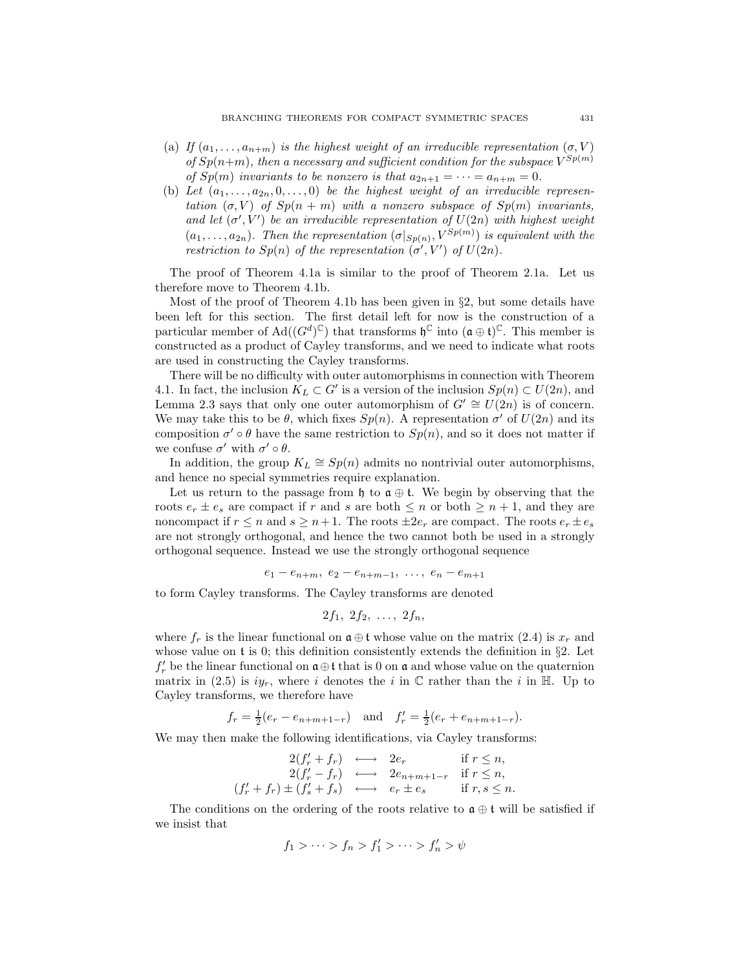- (a) If  $(a_1,\ldots,a_{n+m})$  is the highest weight of an irreducible representation  $(\sigma, V)$ of  $Sp(n+m)$ , then a necessary and sufficient condition for the subspace  $V^{Sp(m)}$ of  $Sp(m)$  invariants to be nonzero is that  $a_{2n+1} = \cdots = a_{n+m} = 0$ .
- (b) Let  $(a_1,\ldots,a_{2n},0,\ldots,0)$  be the highest weight of an irreducible representation  $(\sigma, V)$  of  $Sp(n + m)$  with a nonzero subspace of  $Sp(m)$  invariants, and let  $(\sigma', V')$  be an irreducible representation of  $U(2n)$  with highest weight  $(a_1,...,a_{2n})$ . Then the representation  $(\sigma |_{Sp(n)}, V^{Sp(m)})$  is equivalent with the restriction to  $Sp(n)$  of the representation  $(\sigma', V')$  of  $U(2n)$ .

The proof of Theorem 4.1a is similar to the proof of Theorem 2.1a. Let us therefore move to Theorem 4.1b.

Most of the proof of Theorem 4.1b has been given in §2, but some details have been left for this section. The first detail left for now is the construction of a particular member of  $\text{Ad}((G^d)^{\mathbb{C}})$  that transforms  $\mathfrak{h}^{\mathbb{C}}$  into  $(\mathfrak{a} \oplus \mathfrak{t})^{\mathbb{C}}$ . This member is constructed as a product of Cayley transforms, and we need to indicate what roots are used in constructing the Cayley transforms.

There will be no difficulty with outer automorphisms in connection with Theorem 4.1. In fact, the inclusion  $K_L \subset G'$  is a version of the inclusion  $Sp(n) \subset U(2n)$ , and Lemma 2.3 says that only one outer automorphism of  $G' \cong U(2n)$  is of concern. We may take this to be  $\theta$ , which fixes  $Sp(n)$ . A representation  $\sigma'$  of  $U(2n)$  and its composition  $\sigma' \circ \theta$  have the same restriction to  $Sp(n)$ , and so it does not matter if we confuse  $\sigma'$  with  $\sigma' \circ \theta$ .

In addition, the group  $K_L \cong Sp(n)$  admits no nontrivial outer automorphisms, and hence no special symmetries require explanation.

Let us return to the passage from  $\mathfrak{h}$  to  $\mathfrak{a} \oplus \mathfrak{t}$ . We begin by observing that the roots  $e_r \pm e_s$  are compact if r and s are both  $\leq n$  or both  $\geq n+1$ , and they are noncompact if  $r \leq n$  and  $s \geq n+1$ . The roots  $\pm 2e_r$  are compact. The roots  $e_r \pm e_s$ are not strongly orthogonal, and hence the two cannot both be used in a strongly orthogonal sequence. Instead we use the strongly orthogonal sequence

$$
e_1 - e_{n+m}, \ e_2 - e_{n+m-1}, \ \ldots, \ e_n - e_{m+1}
$$

to form Cayley transforms. The Cayley transforms are denoted

$$
2f_1, 2f_2, \ldots, 2f_n,
$$

where  $f_r$  is the linear functional on  $\mathfrak{a} \oplus \mathfrak{t}$  whose value on the matrix (2.4) is  $x_r$  and whose value on t is 0; this definition consistently extends the definition in  $\S$ 2. Let  $f'_r$  be the linear functional on  $\mathfrak{a} \oplus \mathfrak{t}$  that is 0 on  $\mathfrak{a}$  and whose value on the quaternion matrix in (2.5) is  $iy_r$ , where i denotes the i in C rather than the i in H. Up to Cayley transforms, we therefore have

$$
f_r = \frac{1}{2}(e_r - e_{n+m+1-r})
$$
 and  $f'_r = \frac{1}{2}(e_r + e_{n+m+1-r}).$ 

We may then make the following identifications, via Cayley transforms:

$$
2(f'_r + f_r) \longleftrightarrow 2e_r \quad \text{if } r \leq n,
$$
  
\n
$$
2(f'_r - f_r) \longleftrightarrow 2e_{n+m+1-r} \quad \text{if } r \leq n,
$$
  
\n
$$
(f'_r + f_r) \pm (f'_s + f_s) \longleftrightarrow e_r \pm e_s \quad \text{if } r, s \leq n.
$$

The conditions on the ordering of the roots relative to  $\mathfrak{a} \oplus \mathfrak{t}$  will be satisfied if we insist that

$$
f_1 > \cdots > f_n > f'_1 > \cdots > f'_n > \psi
$$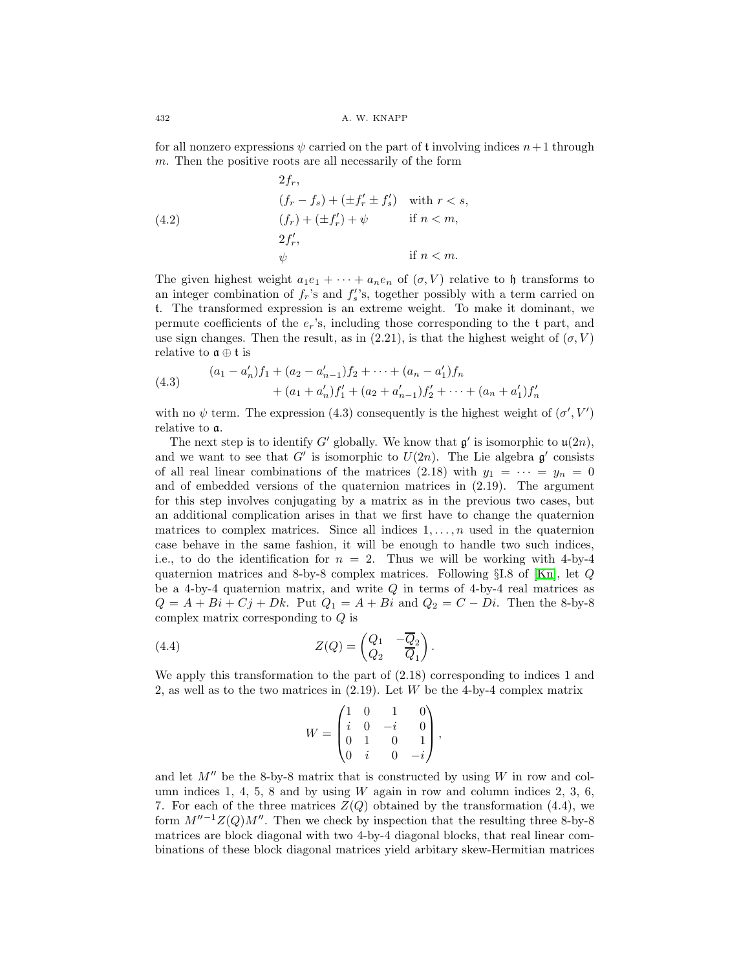for all nonzero expressions  $\psi$  carried on the part of t involving indices  $n+1$  through  $m$ . Then the positive roots are all necessarily of the form

(4.2) 
$$
2f_r,
$$
  
\n
$$
(f_r - f_s) + (\pm f'_r \pm f'_s) \text{ with } r < s,
$$
  
\n
$$
(f_r) + (\pm f'_r) + \psi \text{ if } n < m,
$$
  
\n
$$
2f'_r,
$$
  
\n
$$
\psi \text{ if } n < m.
$$

The given highest weight  $a_1e_1 + \cdots + a_ne_n$  of  $(\sigma, V)$  relative to h transforms to an integer combination of  $f_r$ 's and  $f'_s$ 's, together possibly with a term carried on t. The transformed expression is an extreme weight. To make it dominant, we permute coefficients of the  $e_r$ 's, including those corresponding to the t part, and use sign changes. Then the result, as in  $(2.21)$ , is that the highest weight of  $(\sigma, V)$ relative to  $\mathfrak{a} \oplus \mathfrak{t}$  is

(4.3) 
$$
(a_1 - a'_n)f_1 + (a_2 - a'_{n-1})f_2 + \cdots + (a_n - a'_1)f_n
$$

$$
+ (a_1 + a'_n)f'_1 + (a_2 + a'_{n-1})f'_2 + \cdots + (a_n + a'_1)f'_n
$$

with no  $\psi$  term. The expression (4.3) consequently is the highest weight of  $(\sigma', V')$ relative to a.

The next step is to identify G' globally. We know that  $\mathfrak{q}'$  is isomorphic to  $\mathfrak{u}(2n)$ , and we want to see that G' is isomorphic to  $U(2n)$ . The Lie algebra  $\mathfrak{g}'$  consists of all real linear combinations of the matrices (2.18) with  $y_1 = \cdots = y_n = 0$ and of embedded versions of the quaternion matrices in (2.19). The argument for this step involves conjugating by a matrix as in the previous two cases, but an additional complication arises in that we first have to change the quaternion matrices to complex matrices. Since all indices  $1, \ldots, n$  used in the quaternion case behave in the same fashion, it will be enough to handle two such indices, i.e., to do the identification for  $n = 2$ . Thus we will be working with 4-by-4 quaternion matrices and 8-by-8 complex matrices. Following §I.8 of [\[Kn\]](#page-31-6), let Q be a 4-by-4 quaternion matrix, and write  $Q$  in terms of 4-by-4 real matrices as  $Q = A + Bi + Cj + Dk$ . Put  $Q_1 = A + Bi$  and  $Q_2 = C - Di$ . Then the 8-by-8 complex matrix corresponding to Q is

(4.4) 
$$
Z(Q) = \begin{pmatrix} Q_1 & -\overline{Q}_2 \\ Q_2 & \overline{Q}_1 \end{pmatrix}.
$$

We apply this transformation to the part of (2.18) corresponding to indices 1 and 2, as well as to the two matrices in (2.19). Let W be the 4-by-4 complex matrix

$$
W = \begin{pmatrix} 1 & 0 & 1 & 0 \\ i & 0 & -i & 0 \\ 0 & 1 & 0 & 1 \\ 0 & i & 0 & -i \end{pmatrix},
$$

and let  $M''$  be the 8-by-8 matrix that is constructed by using W in row and column indices 1, 4, 5, 8 and by using  $W$  again in row and column indices 2, 3, 6, 7. For each of the three matrices  $Z(Q)$  obtained by the transformation (4.4), we form  $M''^{-1}Z(Q)M''$ . Then we check by inspection that the resulting three 8-by-8 matrices are block diagonal with two 4-by-4 diagonal blocks, that real linear combinations of these block diagonal matrices yield arbitary skew-Hermitian matrices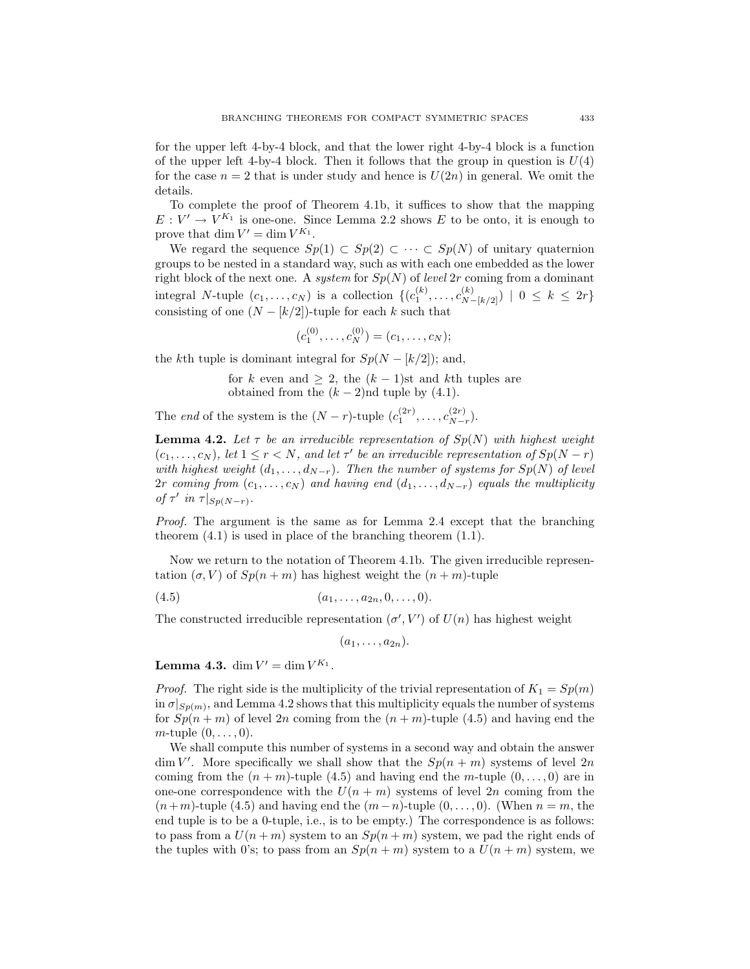for the upper left 4-by-4 block, and that the lower right 4-by-4 block is a function of the upper left 4-by-4 block. Then it follows that the group in question is  $U(4)$ for the case  $n = 2$  that is under study and hence is  $U(2n)$  in general. We omit the details.

To complete the proof of Theorem 4.1b, it suffices to show that the mapping  $E: V' \to V^{K_1}$  is one-one. Since Lemma 2.2 shows E to be onto, it is enough to prove that dim  $V' = \dim V^{K_1}$ .

We regard the sequence  $Sp(1) \subset Sp(2) \subset \cdots \subset Sp(N)$  of unitary quaternion groups to be nested in a standard way, such as with each one embedded as the lower right block of the next one. A system for  $Sp(N)$  of level 2r coming from a dominant integral N-tuple  $(c_1, ..., c_N)$  is a collection  $\{(c_1^{(k)}, ..., c_{N-[k/2]}^{(k)}) \mid 0 \leq k \leq 2r\}$ consisting of one  $(N - k/2)$ -tuple for each k such that

$$
(c_1^{(0)},\ldots,c_N^{(0)})=(c_1,\ldots,c_N);
$$

the kth tuple is dominant integral for  $Sp(N - (k/2))$ ; and,

for k even and  $\geq 2$ , the  $(k-1)$ st and kth tuples are obtained from the  $(k-2)$ nd tuple by  $(4.1)$ .

The end of the system is the  $(N - r)$ -tuple  $(c_1^{(2r)}, \ldots, c_{N-r}^{(2r)})$ .

**Lemma 4.2.** Let  $\tau$  be an irreducible representation of  $Sp(N)$  with highest weight  $(c_1,\ldots,c_N)$ , let  $1 \leq r < N$ , and let  $\tau'$  be an irreducible representation of  $Sp(N-r)$ with highest weight  $(d_1, \ldots, d_{N-r})$ . Then the number of systems for  $Sp(N)$  of level 2r coming from  $(c_1,...,c_N)$  and having end  $(d_1,...,d_{N-r})$  equals the multiplicity of  $\tau'$  in  $\tau|_{Sp(N-r)}$ .

Proof. The argument is the same as for Lemma 2.4 except that the branching theorem  $(4.1)$  is used in place of the branching theorem  $(1.1)$ .

Now we return to the notation of Theorem 4.1b. The given irreducible representation  $(\sigma, V)$  of  $Sp(n+m)$  has highest weight the  $(n+m)$ -tuple

$$
(4.5) \t\t (a_1,\ldots,a_{2n},0,\ldots,0).
$$

The constructed irreducible representation  $(\sigma', V')$  of  $U(n)$  has highest weight

 $(a_1, \ldots, a_{2n}).$ 

**Lemma 4.3.** dim  $V' = \dim V^{K_1}$ .

*Proof.* The right side is the multiplicity of the trivial representation of  $K_1 = Sp(m)$ in  $\sigma|_{Sp(m)}$ , and Lemma 4.2 shows that this multiplicity equals the number of systems for  $Sp(n+m)$  of level 2n coming from the  $(n+m)$ -tuple (4.5) and having end the  $m$ -tuple  $(0,\ldots,0)$ .

We shall compute this number of systems in a second way and obtain the answer  $\dim V'$ . More specifically we shall show that the  $Sp(n + m)$  systems of level  $2n$ coming from the  $(n + m)$ -tuple (4.5) and having end the m-tuple  $(0, \ldots, 0)$  are in one-one correspondence with the  $U(n + m)$  systems of level 2n coming from the  $(n+m)$ -tuple (4.5) and having end the  $(m-n)$ -tuple  $(0,\ldots,0)$ . (When  $n=m$ , the end tuple is to be a 0-tuple, i.e., is to be empty.) The correspondence is as follows: to pass from a  $U(n+m)$  system to an  $Sp(n+m)$  system, we pad the right ends of the tuples with 0's; to pass from an  $Sp(n+m)$  system to a  $U(n+m)$  system, we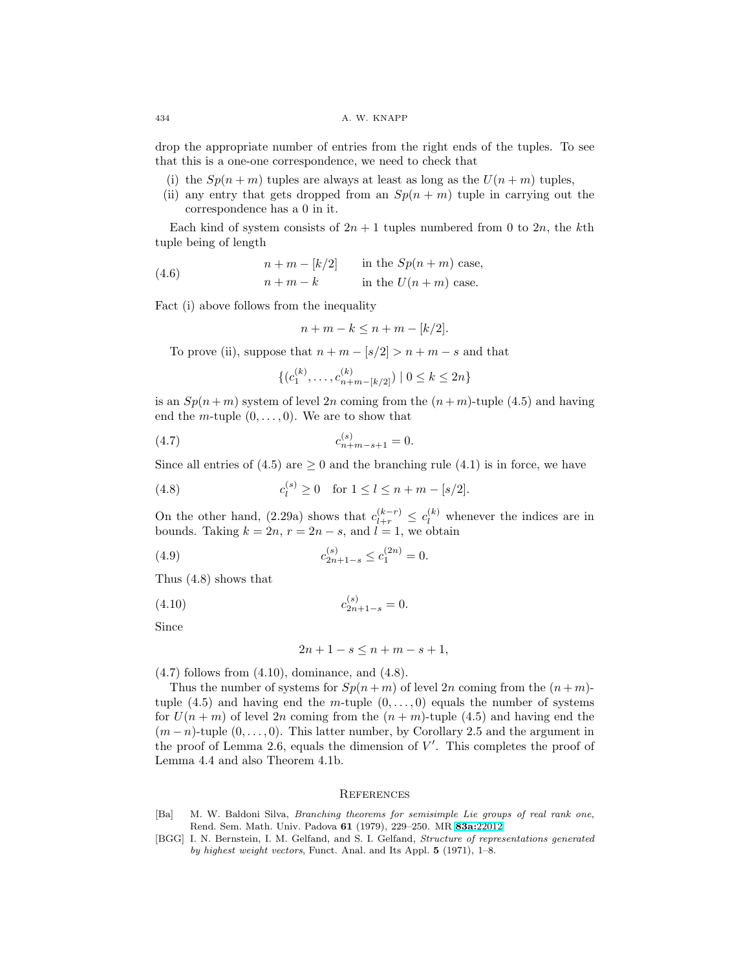drop the appropriate number of entries from the right ends of the tuples. To see that this is a one-one correspondence, we need to check that

- (i) the  $Sp(n+m)$  tuples are always at least as long as the  $U(n+m)$  tuples,
- (ii) any entry that gets dropped from an  $Sp(n + m)$  tuple in carrying out the correspondence has a 0 in it.

Each kind of system consists of  $2n + 1$  tuples numbered from 0 to  $2n$ , the kth tuple being of length

(4.6) 
$$
n + m - [k/2] \quad \text{in the } Sp(n+m) \text{ case,}
$$

$$
n + m - k \quad \text{in the } U(n+m) \text{ case.}
$$

Fact (i) above follows from the inequality

$$
n + m - k \le n + m - [k/2].
$$

To prove (ii), suppose that  $n + m - \lfloor s/2 \rfloor > n + m - s$  and that

$$
\{ (c_1^{(k)}, \dots, c_{n+m-[k/2]}^{(k)}) \mid 0 \le k \le 2n \}
$$

is an  $Sp(n+m)$  system of level 2n coming from the  $(n+m)$ -tuple (4.5) and having end the *m*-tuple  $(0, \ldots, 0)$ . We are to show that

(4.7) 
$$
c_{n+m-s+1}^{(s)} = 0.
$$

Since all entries of (4.5) are  $\geq 0$  and the branching rule (4.1) is in force, we have

(4.8) 
$$
c_l^{(s)} \ge 0 \text{ for } 1 \le l \le n + m - [s/2].
$$

On the other hand, (2.29a) shows that  $c_{l+r}^{(k-r)} \n\t\leq c_l^{(k)}$  whenever the indices are in bounds. Taking  $k = 2n$ ,  $r = 2n - s$ , and  $l = 1$ , we obtain

(4.9) 
$$
c_{2n+1-s}^{(s)} \le c_1^{(2n)} = 0.
$$

Thus (4.8) shows that

$$
c_{2n+1-s}^{(s)} = 0.
$$

Since

$$
2n + 1 - s \le n + m - s + 1,
$$

 $(4.7)$  follows from  $(4.10)$ , dominance, and  $(4.8)$ .

Thus the number of systems for  $Sp(n+m)$  of level  $2n$  coming from the  $(n+m)$ tuple (4.5) and having end the *m*-tuple  $(0,\ldots,0)$  equals the number of systems for  $U(n+m)$  of level 2n coming from the  $(n+m)$ -tuple (4.5) and having end the  $(m-n)$ -tuple  $(0,\ldots,0)$ . This latter number, by Corollary 2.5 and the argument in the proof of Lemma 2.6, equals the dimension of  $V'$ . This completes the proof of Lemma 4.4 and also Theorem 4.1b.

# **REFERENCES**

- <span id="page-30-1"></span>[Ba] M. W. Baldoni Silva, Branching theorems for semisimple Lie groups of real rank one, Rend. Sem. Math. Univ. Padova **61** (1979), 229–250. MR **83a:**[22012](http://www.ams.org/mathscinet-getitem?mr=83a:22012)
- <span id="page-30-0"></span>[BGG] I. N. Bernstein, I. M. Gelfand, and S. I. Gelfand, Structure of representations generated by highest weight vectors, Funct. Anal. and Its Appl. **5** (1971), 1–8.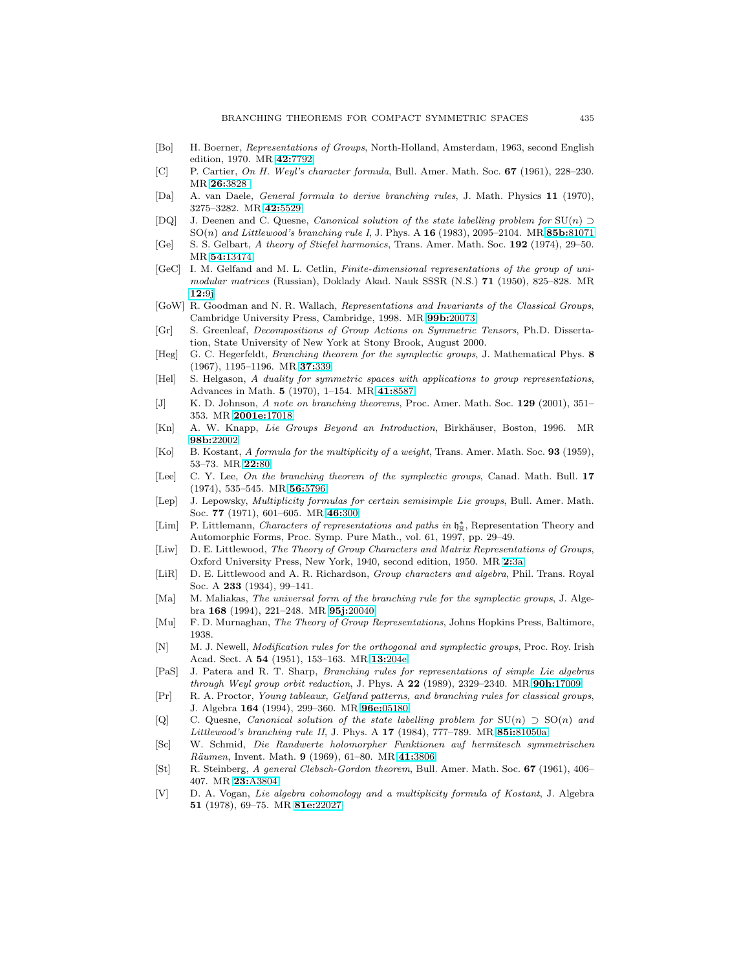- [Bo] H. Boerner, Representations of Groups, North-Holland, Amsterdam, 1963, second English edition, 1970. MR **42:**[7792](http://www.ams.org/mathscinet-getitem?mr=42:7792)
- <span id="page-31-5"></span>[C] P. Cartier, On H. Weyl's character formula, Bull. Amer. Math. Soc. **67** (1961), 228–230. MR **26:**[3828](http://www.ams.org/mathscinet-getitem?mr=26:3828 )
- <span id="page-31-8"></span>[Da] A. van Daele, General formula to derive branching rules, J. Math. Physics **11** (1970), 3275–3282. MR **42:**[5529](http://www.ams.org/mathscinet-getitem?mr=42:5529)
- <span id="page-31-16"></span>[DQ] J. Deenen and C. Quesne, Canonical solution of the state labelling problem for  $SU(n) \supset$ SO(n) and Littlewood's branching rule I, J. Phys. A **16** (1983), 2095–2104. MR **85b:**[81071](http://www.ams.org/mathscinet-getitem?mr=85b:81071)
- <span id="page-31-22"></span>[Ge] S. S. Gelbart, A theory of Stiefel harmonics, Trans. Amer. Math. Soc. **192** (1974), 29–50. MR **54:**[13474](http://www.ams.org/mathscinet-getitem?mr=54:13474)
- <span id="page-31-23"></span>[GeC] I. M. Gelfand and M. L. Cetlin, Finite-dimensional representations of the group of unimodular matrices (Russian), Doklady Akad. Nauk SSSR (N.S.) **71** (1950), 825–828. MR **[12:](http://www.ams.org/mathscinet-getitem?mr=12:9j)**9j
- <span id="page-31-7"></span>[GoW] R. Goodman and N. R. Wallach, Representations and Invariants of the Classical Groups, Cambridge University Press, Cambridge, 1998. MR **99b:**[20073](http://www.ams.org/mathscinet-getitem?mr=99b:20073)
- <span id="page-31-21"></span>[Gr] S. Greenleaf, Decompositions of Group Actions on Symmetric Tensors, Ph.D. Dissertation, State University of New York at Stony Brook, August 2000.
- <span id="page-31-1"></span>[Heg] G. C. Hegerfeldt, Branching theorem for the symplectic groups, J. Mathematical Phys. **8** (1967), 1195–1196. MR **37:**[339](http://www.ams.org/mathscinet-getitem?mr=37:339)
- <span id="page-31-19"></span>[Hel] S. Helgason, A duality for symmetric spaces with applications to group representations, Advances in Math. **5** (1970), 1–154. MR **41:**[8587](http://www.ams.org/mathscinet-getitem?mr=41:8587)
- [J] K. D. Johnson, A note on branching theorems, Proc. Amer. Math. Soc. **129** (2001), 351– 353. MR **[2001e:](http://www.ams.org/mathscinet-getitem?mr=2001e:17018)**17018
- <span id="page-31-6"></span>[Kn] A. W. Knapp, Lie Groups Beyond an Introduction, Birkhäuser, Boston, 1996. MR **98b:**[22002](http://www.ams.org/mathscinet-getitem?mr=98b:22002)
- <span id="page-31-4"></span>[Ko] B. Kostant, A formula for the multiplicity of a weight, Trans. Amer. Math. Soc. **93** (1959), 53–73. MR **[22:](http://www.ams.org/mathscinet-getitem?mr=22:80)**80
- <span id="page-31-14"></span>[Lee] C. Y. Lee, On the branching theorem of the symplectic groups, Canad. Math. Bull. **17** (1974), 535–545. MR **56:**[5796](http://www.ams.org/mathscinet-getitem?mr=56:5796)
- <span id="page-31-2"></span>[Lep] J. Lepowsky, *Multiplicity formulas for certain semisimple Lie groups*, Bull. Amer. Math. Soc. **77** (1971), 601–605. MR **46:**[300](http://www.ams.org/mathscinet-getitem?mr=46:300)
- <span id="page-31-13"></span>[Lim] P. Littlemann, Characters of representations and paths in  $\mathfrak{h}^*_{\mathbb{R}}$ , Representation Theory and Automorphic Forms, Proc. Symp. Pure Math., vol. 61, 1997, pp. 29–49.
- <span id="page-31-12"></span>[Liw] D. E. Littlewood, The Theory of Group Characters and Matrix Representations of Groups, Oxford University Press, New York, 1940, second edition, 1950. MR **2:**[3a](http://www.ams.org/mathscinet-getitem?mr=2:3a)
- <span id="page-31-11"></span>[LiR] D. E. Littlewood and A. R. Richardson, *Group characters and algebra*, Phil. Trans. Royal Soc. A **233** (1934), 99–141.
- <span id="page-31-17"></span>[Ma] M. Maliakas, The universal form of the branching rule for the symplectic groups, J. Algebra **168** (1994), 221–248. MR **95j:**[20040](http://www.ams.org/mathscinet-getitem?mr=95j:20040)
- <span id="page-31-0"></span>[Mu] F. D. Murnaghan, The Theory of Group Representations, Johns Hopkins Press, Baltimore, 1938.
- <span id="page-31-15"></span>[N] M. J. Newell, Modification rules for the orthogonal and symplectic groups, Proc. Roy. Irish Acad. Sect. A **54** (1951), 153–163. MR **13:**[204e](http://www.ams.org/mathscinet-getitem?mr=13:204e)
- <span id="page-31-9"></span>[PaS] J. Patera and R. T. Sharp, Branching rules for representations of simple Lie algebras through Weyl group orbit reduction, J. Phys. A **22** (1989), 2329–2340. MR **90h:**[17009](http://www.ams.org/mathscinet-getitem?mr=90h:17009)
- <span id="page-31-24"></span>[Pr] R. A. Proctor, Young tableaux, Gelfand patterns, and branching rules for classical groups, J. Algebra **164** (1994), 299–360. MR **96e:**[05180](http://www.ams.org/mathscinet-getitem?mr=96e:05180)
- <span id="page-31-18"></span>[Q] C. Quesne, Canonical solution of the state labelling problem for  $SU(n) \supset SO(n)$  and Littlewood's branching rule II, J. Phys. A **17** (1984), 777–789. MR **85i:**[81050a](http://www.ams.org/mathscinet-getitem?mr=85i:81050a)
- <span id="page-31-20"></span>[Sc] W. Schmid, Die Randwerte holomorpher Funktionen auf hermitesch symmetrischen R¨aumen, Invent. Math. **9** (1969), 61–80. MR **41:**[3806](http://www.ams.org/mathscinet-getitem?mr=41:3806)
- <span id="page-31-10"></span>[St] R. Steinberg, A general Clebsch-Gordon theorem, Bull. Amer. Math. Soc. **67** (1961), 406– 407. MR **23:**[A3804](http://www.ams.org/mathscinet-getitem?mr=23:A3804)
- <span id="page-31-3"></span>[V] D. A. Vogan, Lie algebra cohomology and a multiplicity formula of Kostant, J. Algebra **51** (1978), 69–75. MR **81e:**[22027](http://www.ams.org/mathscinet-getitem?mr=81e:22027)